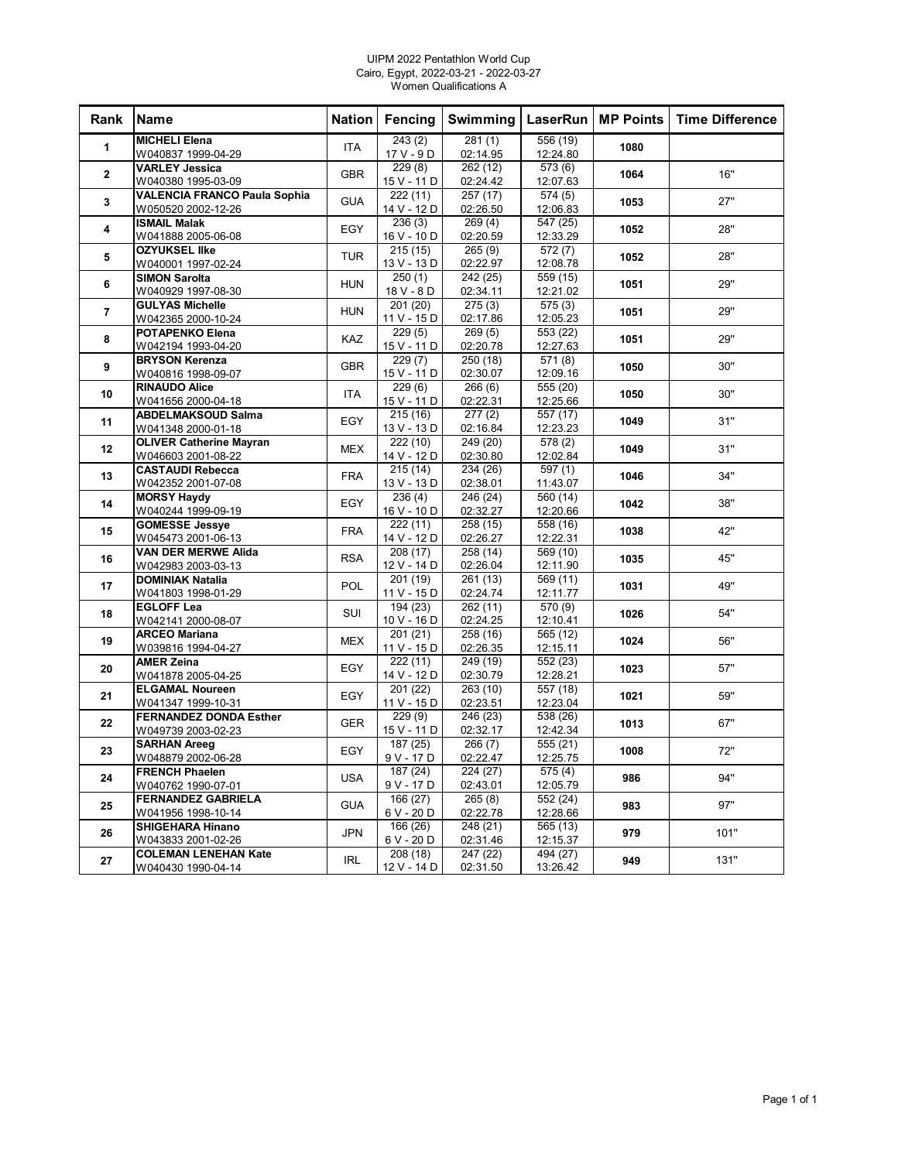## UIPM 2022 Pentathlon World Cup Cairo, Egypt, 2022-03-21 - 2022-03-27 Women Qualifications A

| Rank           | <b>Name</b>                                   | <b>Nation</b> | Fencing                | <b>Swimming</b>      | LaserRun              | <b>MP Points</b> | <b>Time Difference</b> |
|----------------|-----------------------------------------------|---------------|------------------------|----------------------|-----------------------|------------------|------------------------|
| $\mathbf{1}$   | <b>MICHELI Elena</b>                          | <b>ITA</b>    | 243(2)                 | 281(1)               | 556 (19)              | 1080             |                        |
|                | W040837 1999-04-29                            |               | $17V - 9D$             | 02:14.95             | 12:24.80              |                  |                        |
| $\mathbf{2}$   | <b>VARLEY Jessica</b>                         | <b>GBR</b>    | 229(8)                 | 262 (12)             | 573 (6)               | 1064             | 16"                    |
|                | W040380 1995-03-09                            |               | 15 V - 11 D            | 02:24.42             | 12:07.63              |                  |                        |
| 3              | <b>VALENCIA FRANCO Paula Sophia</b>           | <b>GUA</b>    | 222(11)                | 257(17)              | 574(5)                | 1053             | 27"                    |
|                | W050520 2002-12-26                            |               | 14 V - 12 D            | 02:26.50             | 12:06.83              |                  |                        |
| 4              | <b>ISMAIL Malak</b>                           | <b>EGY</b>    | 236(3)                 | 269(4)               | 547 (25)              | 1052             | 28"                    |
|                | W041888 2005-06-08<br><b>OZYUKSEL IIke</b>    |               | 16 V - 10 D<br>215(15) | 02:20.59<br>265(9)   | 12:33.29<br>572(7)    |                  |                        |
| 5              | W040001 1997-02-24                            | <b>TUR</b>    | 13 V - 13 D            | 02:22.97             | 12:08.78              | 1052             | 28"                    |
|                | <b>SIMON Sarolta</b>                          |               | 250(1)                 | 242 (25)             | 559 (15)              |                  |                        |
| 6              | W040929 1997-08-30                            | <b>HUN</b>    | 18 V - 8 D             | 02:34.11             | 12:21.02              | 1051             | 29"                    |
|                | <b>GULYAS Michelle</b>                        |               | 201 (20)               | 275(3)               | 575(3)                |                  |                        |
| $\overline{7}$ | W042365 2000-10-24                            | <b>HUN</b>    | 11 V - 15 D            | 02:17.86             | 12:05.23              | 1051             | 29"                    |
|                | <b>POTAPENKO Elena</b>                        |               | 229(5)                 | 269(5)               | $\overline{553}$ (22) |                  | 29"                    |
| 8              | W042194 1993-04-20                            | KAZ           | 15 V - 11 D            | 02:20.78             | 12:27.63              | 1051             |                        |
| 9              | <b>BRYSON Kerenza</b>                         | <b>GBR</b>    | 229(7)                 | 250 (18)             | $\overline{571}$ (8)  | 1050             | 30"                    |
|                | W040816 1998-09-07                            |               | 15 V - 11 D            | 02:30.07             | 12:09.16              |                  |                        |
| 10             | <b>RINAUDO Alice</b>                          | <b>ITA</b>    | 229(6)                 | 266(6)               | $\overline{555}$ (20) | 1050             | 30"                    |
|                | W041656 2000-04-18                            |               | 15 V - 11 D            | 02:22.31             | 12:25.66              |                  |                        |
| 11             | <b>ABDELMAKSOUD Salma</b>                     | EGY           | 215(16)                | 277(2)               | 557 (17)              | 1049             | 31"                    |
|                | W041348 2000-01-18                            |               | 13 V - 13 D            | 02:16.84             | 12:23.23              |                  |                        |
| 12             | <b>OLIVER Catherine Mayran</b>                | <b>MEX</b>    | 222(10)                | 249 (20)             | 578 (2)               | 1049             | 31"                    |
|                | W046603 2001-08-22<br><b>CASTAUDI Rebecca</b> |               | 14 V - 12 D<br>215(14) | 02:30.80<br>234 (26) | 12:02.84<br>597(1)    |                  |                        |
| 13             | W042352 2001-07-08                            | <b>FRA</b>    | 13 V - 13 D            | 02:38.01             | 11:43.07              | 1046             | 34"                    |
|                | <b>MORSY Haydy</b>                            |               | 236(4)                 | 246 (24)             | 560 (14)              |                  |                        |
| 14             | W040244 1999-09-19                            | EGY           | 16 V - 10 D            | 02:32.27             | 12:20.66              | 1042             | 38"                    |
|                | <b>GOMESSE Jessye</b>                         |               | 222(11)                | 258 (15)             | 558 (16)              |                  |                        |
| 15             | W045473 2001-06-13                            | <b>FRA</b>    | 14 V - 12 D            | 02:26.27             | 12:22.31              | 1038             | 42"                    |
|                | <b>VAN DER MERWE Alida</b>                    | <b>RSA</b>    | 208(17)                | 258 (14)             | 569 (10)              |                  | 45"                    |
| 16             | W042983 2003-03-13                            |               | 12 V - 14 D            | 02:26.04             | 12:11.90              | 1035             |                        |
| 17             | <b>DOMINIAK Natalia</b>                       | POL           | 201 (19)               | 261 (13)             | 569 (11)              | 1031             | 49"                    |
|                | W041803 1998-01-29                            |               | 11 V - 15 D            | 02:24.74             | 12:11.77              |                  |                        |
| 18             | <b>EGLOFF Lea</b>                             | SUI           | 194 (23)               | 262 (11)             | 570 (9)               | 1026             | 54"                    |
|                | W042141 2000-08-07                            |               | 10 V - 16 D            | 02:24.25             | 12:10.41              |                  |                        |
| 19             | <b>ARCEO Mariana</b>                          | <b>MEX</b>    | 201(21)                | 258 (16)             | $\overline{565}$ (12) | 1024             | 56"                    |
|                | W039816 1994-04-27                            |               | 11 V - 15 D<br>222(11) | 02:26.35<br>249(19)  | 12:15.11<br>552 (23)  |                  |                        |
| 20             | <b>AMER Zeina</b><br>W041878 2005-04-25       | EGY           | 14 V - 12 D            | 02:30.79             | 12:28.21              | 1023             | 57"                    |
|                | <b>ELGAMAL Noureen</b>                        |               | 201 (22)               | 263 (10)             | 557 (18)              |                  |                        |
| 21             | W041347 1999-10-31                            | EGY           | 11 V - 15 D            | 02:23.51             | 12:23.04              | 1021             | 59"                    |
|                | <b>FERNANDEZ DONDA Esther</b>                 |               | 229(9)                 | 246 (23)             | 538 (26)              |                  |                        |
| 22             | W049739 2003-02-23                            | <b>GER</b>    | 15 V - 11 D            | 02:32.17             | 12:42.34              | 1013             | 67"                    |
|                | <b>SARHAN Areeg</b>                           |               | 187 (25)               | 266(7)               | 555(21)               |                  |                        |
| 23             | W048879 2002-06-28                            | EGY           | 9 V - 17 D             | 02:22.47             | 12:25.75              | 1008             | 72"                    |
| 24             | <b>FRENCH Phaelen</b>                         | <b>USA</b>    | 187(24)                | 224 (27)             | 575 (4)               | 986              | 94"                    |
|                | W040762 1990-07-01                            |               | 9 V - 17 D             | 02:43.01             | 12:05.79              |                  |                        |
| 25             | <b>FERNANDEZ GABRIELA</b>                     | <b>GUA</b>    | 166(27)                | 265(8)               | 552 (24)              | 983              | 97"                    |
|                | W041956 1998-10-14                            |               | 6 V - 20 D             | 02:22.78             | 12:28.66              |                  |                        |
| 26             | SHIGEHARA Hinano                              | JPN           | 166 (26)               | 248 (21)             | 565 (13)              | 979              | 101"                   |
|                | W043833 2001-02-26                            |               | 6 V - 20 D             | 02:31.46             | 12:15.37              |                  |                        |
| 27             | <b>COLEMAN LENEHAN Kate</b>                   | IRL           | 208 (18)               | $\sqrt{247(22)}$     | 494 (27)              | 949              | 131"                   |
|                | W040430 1990-04-14                            |               | 12 V - 14 D            | 02:31.50             | 13:26.42              |                  |                        |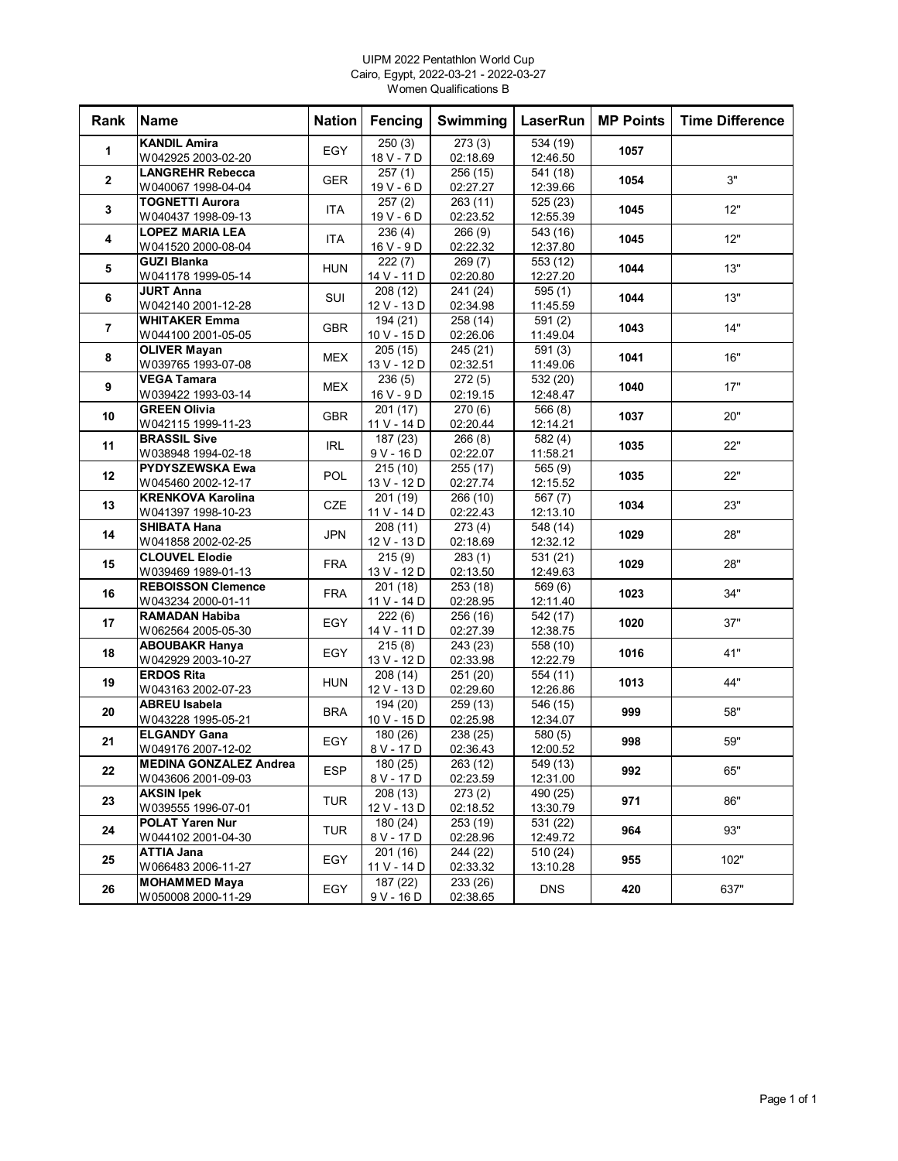#### UIPM 2022 Pentathlon World Cup Cairo, Egypt, 2022-03-21 - 2022-03-27 Women Qualifications B

| <b>Rank</b>    | <b>Name</b>                                         | <b>Nation</b> | Fencing                | <b>Swimming</b>      | LaserRun              | <b>MP Points</b> | <b>Time Difference</b> |
|----------------|-----------------------------------------------------|---------------|------------------------|----------------------|-----------------------|------------------|------------------------|
| $\mathbf{1}$   | <b>KANDIL Amira</b>                                 | EGY           | 250(3)                 | 273(3)               | 534 (19)              | 1057             |                        |
|                | W042925 2003-02-20                                  |               | 18 V - 7 D             | 02:18.69             | 12:46.50              |                  |                        |
| $\overline{2}$ | <b>LANGREHR Rebecca</b>                             | <b>GER</b>    | 257(1)                 | 256(15)              | 541 (18)              | 1054             | 3"                     |
|                | W040067 1998-04-04                                  |               | 19 V - 6 D             | 02:27.27             | 12:39.66              |                  |                        |
| 3              | <b>TOGNETTI Aurora</b>                              | <b>ITA</b>    | 257(2)                 | 263(11)              | 525(23)               | 1045             | 12"                    |
|                | W040437 1998-09-13                                  |               | 19 V - 6 D             | 02:23.52             | 12:55.39              |                  |                        |
| 4              | <b>LOPEZ MARIA LEA</b>                              | <b>ITA</b>    | 236(4)                 | 266(9)               | 543 (16)              | 1045             | 12"                    |
|                | W041520 2000-08-04                                  |               | 16 V - 9 D             | 02:22.32             | 12:37.80              |                  |                        |
| 5              | <b>GUZI Blanka</b>                                  | <b>HUN</b>    | $\overline{2}22(7)$    | 269(7)               | 553 (12)              | 1044             | 13"                    |
|                | W041178 1999-05-14                                  |               | 14 V - 11 D            | 02:20.80             | 12:27.20              |                  |                        |
| 6              | <b>JURT Anna</b>                                    | SUI           | 208 (12)               | 241 (24)             | 595(1)                | 1044             | 13"                    |
|                | W042140 2001-12-28                                  |               | 12 V - 13 D            | 02:34.98             | 11:45.59              |                  |                        |
| $\overline{7}$ | <b>WHITAKER Emma</b>                                | <b>GBR</b>    | 194 (21)               | 258 (14)             | 591(2)                | 1043             | 14"                    |
|                | W044100 2001-05-05                                  |               | 10 V - 15 D            | 02:26.06             | 11:49.04              |                  |                        |
| 8              | <b>OLIVER Mayan</b>                                 | <b>MEX</b>    | 205(15)                | 245 (21)             | 591(3)                | 1041             | 16"                    |
|                | W039765 1993-07-08                                  |               | 13 V - 12 D            | 02:32.51             | 11:49.06              |                  |                        |
| 9              | <b>VEGA Tamara</b>                                  | <b>MEX</b>    | 236(5)                 | $\overline{272}$ (5) | 532 (20)              | 1040             | 17"                    |
|                | W039422 1993-03-14                                  |               | $16V - 9D$             | 02:19.15             | 12:48.47              |                  |                        |
| 10             | <b>GREEN Olivia</b>                                 | <b>GBR</b>    | 201(17)                | 270(6)               | 566(8)                | 1037             | 20"                    |
|                | W042115 1999-11-23                                  |               | 11 V - 14 D            | 02:20.44             | 12:14.21              |                  |                        |
| 11             | <b>BRASSIL Sive</b>                                 | <b>IRL</b>    | 187 (23)               | 266(8)               | 582(4)                | 1035             | 22"                    |
|                | W038948 1994-02-18                                  |               | $9V - 16D$             | 02:22.07             | 11:58.21              |                  |                        |
| 12             | <b>PYDYSZEWSKA Ewa</b>                              | <b>POL</b>    | 215(10)                | 255 (17)             | 565(9)                | 1035             | 22"                    |
|                | W045460 2002-12-17                                  |               | 13 V - 12 D            | 02:27.74             | 12:15.52              |                  |                        |
| 13             | <b>KRENKOVA Karolina</b>                            | <b>CZE</b>    | 201 (19)               | 266 (10)             | 567 $(7)$             | 1034             | 23"                    |
|                | W041397 1998-10-23                                  |               | 11 V - 14 D            | 02:22.43             | 12:13.10              |                  |                        |
| 14             | <b>SHIBATA Hana</b>                                 | <b>JPN</b>    | 208(11)                | $\overline{273}$ (4) | $\overline{548}$ (14) | 1029             | 28"                    |
|                | W041858 2002-02-25                                  |               | 12 V - 13 D            | 02:18.69             | 12:32.12              |                  |                        |
| 15             | <b>CLOUVEL Elodie</b>                               | <b>FRA</b>    | 215(9)                 | 283(1)               | 531(21)               | 1029             | 28"                    |
|                | W039469 1989-01-13                                  |               | 13 V - 12 D            | 02:13.50             | 12:49.63              |                  |                        |
| 16             | <b>REBOISSON Clemence</b>                           | <b>FRA</b>    | 201(18)                | 253 (18)             | 569 (6)               | 1023             | 34"                    |
|                | W043234 2000-01-11                                  |               | 11 V - 14 D            | 02:28.95             | 12:11.40              |                  |                        |
| 17             | <b>RAMADAN Habiba</b>                               | EGY           | $\overline{222}$ (6)   | 256(16)              | $\overline{542}$ (17) | 1020             | 37"                    |
|                | W062564 2005-05-30                                  |               | 14 V - 11 D            | 02:27.39             | 12:38.75              |                  |                        |
| 18             | <b>ABOUBAKR Hanya</b>                               | EGY           | 215(8)                 | 243 (23)             | 558 (10)              | 1016             | 41"                    |
|                | W042929 2003-10-27                                  |               | 13 V - 12 D            | 02:33.98             | 12:22.79              |                  |                        |
| 19             | <b>ERDOS Rita</b>                                   | <b>HUN</b>    | 208 (14)               | 251 (20)             | 554 (11)              | 1013             | 44"                    |
|                | W043163 2002-07-23<br><b>ABREU Isabela</b>          |               | 12 V - 13 D            | 02:29.60             | 12:26.86              |                  |                        |
| 20             |                                                     | <b>BRA</b>    | 194 (20)               | 259 (13)             | 546 (15)              | 999              | 58"                    |
|                | W043228 1995-05-21<br><b>ELGANDY Gana</b>           |               | 10 V - 15 D            | 02:25.98             | 12:34.07              |                  |                        |
| 21             | W049176 2007-12-02                                  | EGY           | 180 (26)<br>8 V - 17 D | 238 (25)<br>02:36.43 | 580 (5)               | 998              | 59"                    |
|                |                                                     |               |                        |                      | 12:00.52              |                  |                        |
| 22             | <b>MEDINA GONZALEZ Andrea</b><br>W043606 2001-09-03 | <b>ESP</b>    | 180 (25)               | 263 (12)             | 549 (13)              | 992              | 65"                    |
|                | <b>AKSIN Ipek</b>                                   |               | 8 V - 17 D<br>208 (13) | 02:23.59<br>273(2)   | 12:31.00<br>490 (25)  |                  |                        |
| 23             | W039555 1996-07-01                                  | <b>TUR</b>    | 12 V - 13 D            | 02:18.52             | 13:30.79              | 971              | 86"                    |
|                | <b>POLAT Yaren Nur</b>                              |               | 180 (24)               | 253 (19)             | 531 (22)              |                  |                        |
| 24             | W044102 2001-04-30                                  | <b>TUR</b>    | 8 V - 17 D             | 02:28.96             | 12:49.72              | 964              | 93"                    |
|                | <b>ATTIA Jana</b>                                   |               | 201 (16)               | 244 (22)             | 510 (24)              |                  |                        |
| 25             | W066483 2006-11-27                                  | EGY           | 11 V - 14 D            | 02:33.32             | 13:10.28              | 955              | 102"                   |
|                | <b>MOHAMMED Maya</b>                                |               | 187 (22)               | 233 (26)             |                       |                  |                        |
| 26             | W050008 2000-11-29                                  | EGY           | $9V - 16D$             | 02:38.65             | <b>DNS</b>            | 420              | 637"                   |
|                |                                                     |               |                        |                      |                       |                  |                        |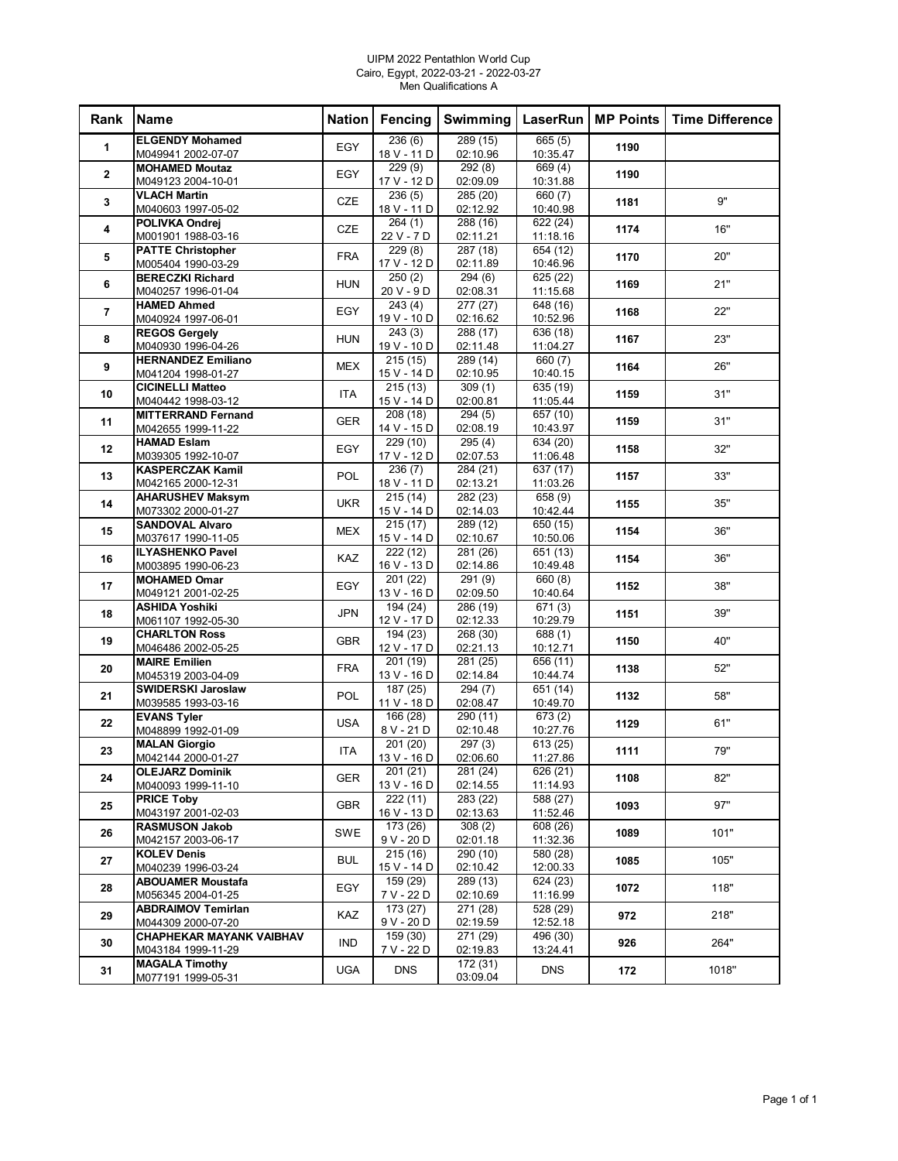#### UIPM 2022 Pentathlon World Cup Cairo, Egypt, 2022-03-21 - 2022-03-27 Men Qualifications A

| Rank           | Name                            | <b>Nation</b> | <b>Fencing</b> | Swimming | LaserRun   | <b>MP Points</b> | <b>Time Difference</b> |
|----------------|---------------------------------|---------------|----------------|----------|------------|------------------|------------------------|
| 1              | <b>ELGENDY Mohamed</b>          | EGY           | 236(6)         | 289(15)  | 665(5)     | 1190             |                        |
|                | M049941 2002-07-07              |               | 18 V - 11 D    | 02:10.96 | 10:35.47   |                  |                        |
| $\mathbf{2}$   | <b>MOHAMED Moutaz</b>           | EGY           | 229(9)         | 292(8)   | 669 (4)    | 1190             |                        |
|                | M049123 2004-10-01              |               | 17 V - 12 D    | 02:09.09 | 10:31.88   |                  |                        |
| 3              | <b>VLACH Martin</b>             | <b>CZE</b>    | 236(5)         | 285 (20) | 660 (7)    | 1181             | 9"                     |
|                | M040603 1997-05-02              |               | 18 V - 11 D    | 02:12.92 | 10:40.98   |                  |                        |
| 4              | <b>POLIVKA Ondrej</b>           | <b>CZE</b>    | 264(1)         | 288 (16) | 622 (24)   | 1174             | 16"                    |
|                | M001901 1988-03-16              |               | 22 V - 7 D     | 02:11.21 | 11:18.16   |                  |                        |
| 5              | <b>PATTE Christopher</b>        | <b>FRA</b>    | 229(8)         | 287 (18) | 654 (12)   | 1170             | 20"                    |
|                | M005404 1990-03-29              |               | 17 V - 12 D    | 02:11.89 | 10:46.96   |                  |                        |
| 6              | <b>BERECZKI Richard</b>         | <b>HUN</b>    | 250(2)         | 294(6)   | 625 (22)   | 1169             | 21"                    |
|                | M040257 1996-01-04              |               | 20 V - 9 D     | 02:08.31 | 11:15.68   |                  |                        |
| $\overline{7}$ | <b>HAMED Ahmed</b>              | EGY           | 243(4)         | 277(27)  | 648 (16)   | 1168             | 22"                    |
|                | M040924 1997-06-01              |               | 19 V - 10 D    | 02:16.62 | 10:52.96   |                  |                        |
| 8              | <b>REGOS Gergely</b>            | <b>HUN</b>    | 243(3)         | 288 (17) | 636 (18)   | 1167             | 23"                    |
|                | M040930 1996-04-26              |               | 19 V - 10 D    | 02:11.48 | 11:04.27   |                  |                        |
| 9              | <b>HERNANDEZ Emiliano</b>       | <b>MEX</b>    | 215(15)        | 289 (14) | 660 (7)    | 1164             | 26"                    |
|                | M041204 1998-01-27              |               | 15 V - 14 D    | 02:10.95 | 10:40.15   |                  |                        |
| 10             | <b>CICINELLI Matteo</b>         | <b>ITA</b>    | 215(13)        | 309(1)   | 635 (19)   | 1159             | 31"                    |
|                | M040442 1998-03-12              |               | 15 V - 14 D    | 02:00.81 | 11:05.44   |                  |                        |
| 11             | <b>MITTERRAND Fernand</b>       | <b>GER</b>    | 208 (18)       | 294(5)   | 657 (10)   |                  | 31"                    |
|                | M042655 1999-11-22              |               | 14 V - 15 D    | 02:08.19 | 10:43.97   | 1159             |                        |
|                | <b>HAMAD Eslam</b>              |               | 229(10)        | 295(4)   | 634 (20)   |                  |                        |
| 12             | M039305 1992-10-07              | EGY           | 17 V - 12 D    | 02:07.53 | 11:06.48   | 1158             | 32"                    |
|                | <b>KASPERCZAK Kamil</b>         |               | 236(7)         | 284 (21) | 637 (17)   |                  |                        |
| 13             | M042165 2000-12-31              | POL           | 18 V - 11 D    | 02:13.21 | 11:03.26   | 1157             | 33"                    |
|                | <b>AHARUSHEV Maksym</b>         |               | 215(14)        | 282 (23) | 658 (9)    |                  |                        |
| 14             | M073302 2000-01-27              | <b>UKR</b>    | 15 V - 14 D    | 02:14.03 | 10:42.44   | 1155             | 35"                    |
|                | <b>SANDOVAL Alvaro</b>          |               | 215 (17)       | 289(12)  | 650 (15)   |                  |                        |
| 15             | M037617 1990-11-05              | <b>MEX</b>    | 15 V - 14 D    | 02:10.67 | 10:50.06   | 1154             | 36"                    |
|                | <b>ILYASHENKO Pavel</b>         | <b>KAZ</b>    | 222 (12)       | 281 (26) | 651 (13)   |                  | 36"                    |
| 16             | M003895 1990-06-23              |               | 16 V - 13 D    | 02:14.86 | 10:49.48   | 1154             |                        |
|                | <b>MOHAMED Omar</b>             |               | 201 (22)       | 291(9)   | 660 (8)    |                  | 38"                    |
| 17             | M049121 2001-02-25              | EGY           | 13 V - 16 D    | 02:09.50 | 10:40.64   | 1152             |                        |
|                | <b>ASHIDA Yoshiki</b>           |               | 194 (24)       | 286 (19) | 671(3)     |                  | 39"                    |
| 18             | M061107 1992-05-30              | <b>JPN</b>    | 12 V - 17 D    | 02:12.33 | 10:29.79   | 1151             |                        |
|                | <b>CHARLTON Ross</b>            |               | 194 (23)       | 268 (30) | 688 (1)    |                  | 40"                    |
| 19             | M046486 2002-05-25              | <b>GBR</b>    | 12 V - 17 D    | 02:21.13 | 10:12.71   | 1150             |                        |
|                | <b>MAIRE Emilien</b>            |               | 201 (19)       | 281 (25) | 656 (11)   |                  | 52"                    |
| 20             | M045319 2003-04-09              | <b>FRA</b>    | 13 V - 16 D    | 02:14.84 | 10:44.74   | 1138             |                        |
|                | <b>SWIDERSKI Jaroslaw</b>       | <b>POL</b>    | 187 (25)       | 294 (7)  | 651 (14)   |                  | 58"                    |
| 21             | M039585 1993-03-16              |               | 11 V - 18 D    | 02:08.47 | 10:49.70   | 1132             |                        |
|                | <b>EVANS Tyler</b>              | <b>USA</b>    | 166 (28)       | 290 (11) | 673(2)     |                  | 61"                    |
| 22             | M048899 1992-01-09              |               | 8 V - 21 D     | 02:10.48 | 10:27.76   | 1129             |                        |
| 23             | <b>MALAN Giorgio</b>            | <b>ITA</b>    | 201 (20)       | 297(3)   | 613 (25)   | 1111             | 79"                    |
|                | M042144 2000-01-27              |               | 13 V - 16 D    | 02:06.60 | 11:27.86   |                  |                        |
| 24             | <b>OLEJARZ Dominik</b>          | <b>GER</b>    | 201 (21)       | 281 (24) | 626 (21)   | 1108             | 82"                    |
|                | M040093 1999-11-10              |               | 13 V - 16 D    | 02:14.55 | 11:14.93   |                  |                        |
| 25             | <b>PRICE Toby</b>               | <b>GBR</b>    | 222 (11)       | 283 (22) | 588 (27)   | 1093             | 97"                    |
|                | M043197 2001-02-03              |               | 16 V - 13 D    | 02:13.63 | 11:52.46   |                  |                        |
|                | <b>RASMUSON Jakob</b>           | SWE           | 173 (26)       | 308(2)   | 608 (26)   |                  | 101"                   |
| 26             | M042157 2003-06-17              |               | 9 V - 20 D     | 02:01.18 | 11:32.36   | 1089             |                        |
| 27             | <b>KOLEV Denis</b>              | BUL           | 215(16)        | 290 (10) | 580 (28)   | 1085             | 105"                   |
|                | M040239 1996-03-24              |               | 15 V - 14 D    | 02:10.42 | 12:00.33   |                  |                        |
|                | <b>ABOUAMER Moustafa</b>        | EGY           | 159 (29)       | 289(13)  | 624 (23)   |                  | 118"                   |
| 28             | M056345 2004-01-25              |               | 7 V - 22 D     | 02:10.69 | 11:16.99   | 1072             |                        |
| 29             | <b>ABDRAIMOV Temirlan</b>       | KAZ           | 173 (27)       | 271 (28) | 528 (29)   |                  | 218"                   |
|                | M044309 2000-07-20              |               | $9V - 20D$     | 02:19.59 | 12:52.18   | 972              |                        |
| 30             | <b>CHAPHEKAR MAYANK VAIBHAV</b> | <b>IND</b>    | 159 (30)       | 271 (29) | 496 (30)   |                  |                        |
|                | M043184 1999-11-29              |               | 7 V - 22 D     | 02:19.83 | 13:24.41   | 926              | 264"                   |
| 31             | <b>MAGALA Timothy</b>           | <b>UGA</b>    | <b>DNS</b>     | 172 (31) | <b>DNS</b> |                  | 1018"                  |
|                | M077191 1999-05-31              |               |                | 03:09.04 |            | 172              |                        |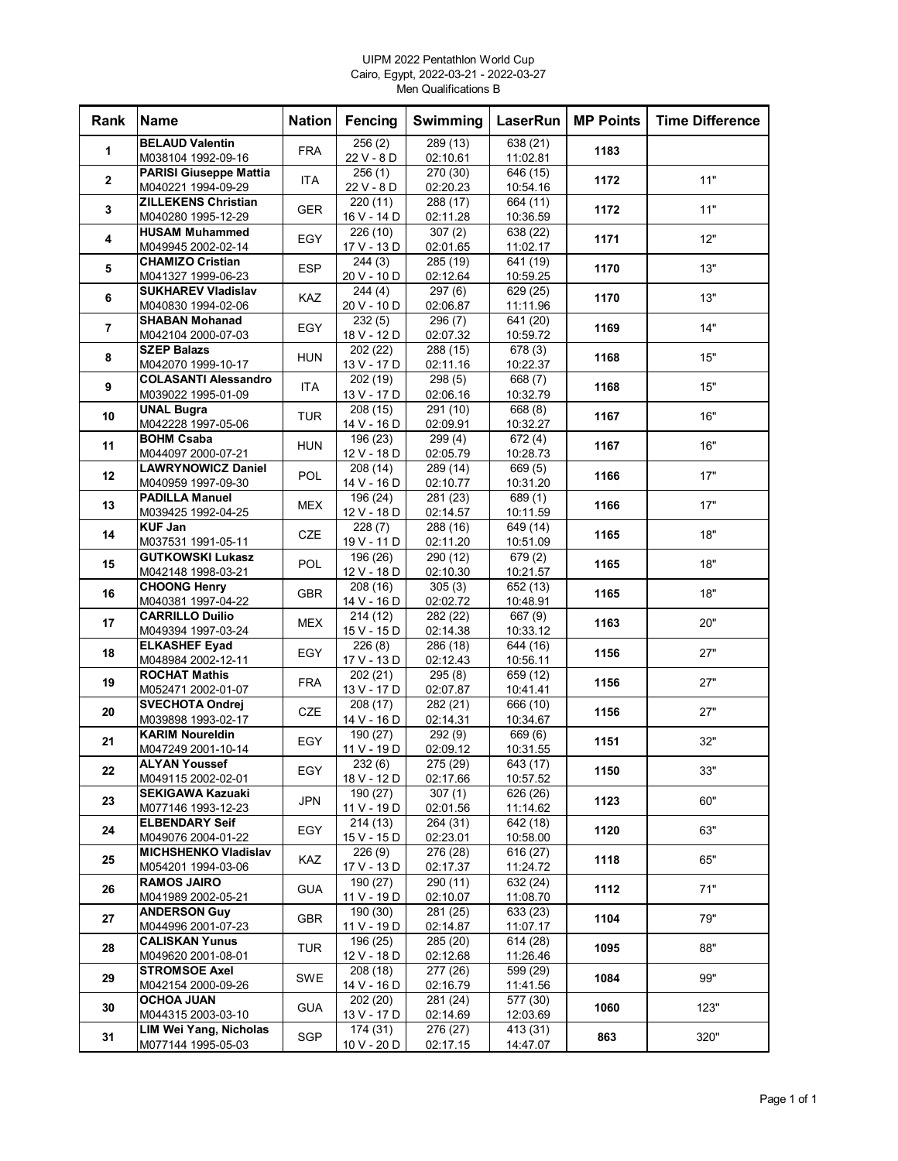## UIPM 2022 Pentathlon World Cup Cairo, Egypt, 2022-03-21 - 2022-03-27 Men Qualifications B

| Rank           | <b>Name</b>                                         | <b>Nation</b> | Fencing                 | Swimming             | LaserRun                 | <b>MP Points</b> | <b>Time Difference</b> |
|----------------|-----------------------------------------------------|---------------|-------------------------|----------------------|--------------------------|------------------|------------------------|
| 1              | <b>BELAUD Valentin</b>                              | <b>FRA</b>    | 256(2)                  | 289 (13)             | 638 (21)                 | 1183             |                        |
|                | M038104 1992-09-16                                  |               | 22 V - 8 D              | 02:10.61             | 11:02.81                 |                  |                        |
| $\overline{2}$ | <b>PARISI Giuseppe Mattia</b><br>M040221 1994-09-29 | <b>ITA</b>    | 256(1)<br>22 V - 8 D    | 270 (30)<br>02:20.23 | 646 (15)<br>10:54.16     | 1172             | 11"                    |
|                | <b>ZILLEKENS Christian</b>                          |               | 220 (11)                | 288 (17)             | 664 (11)                 |                  |                        |
| 3              | M040280 1995-12-29                                  | <b>GER</b>    | 16 V - 14 D             | 02:11.28             | 10:36.59                 | 1172             | 11"                    |
|                | <b>HUSAM Muhammed</b>                               |               | $\overline{226}$ (10)   | $\overline{307}$ (2) | 638(22)                  |                  |                        |
| 4              | M049945 2002-02-14                                  | EGY           | 17 V - 13 D             | 02:01.65             | 11:02.17                 | 1171             | 12"                    |
| 5              | <b>CHAMIZO Cristian</b>                             | <b>ESP</b>    | 244(3)                  | 285 (19)             | 641 (19)                 | 1170             | 13"                    |
|                | M041327 1999-06-23                                  |               | 20 V - 10 D             | 02:12.64             | 10:59.25                 |                  |                        |
| 6              | <b>SUKHAREV Vladislav</b>                           | KAZ           | 244(4)                  | 297(6)               | $\overline{6}$ 29 $(25)$ | 1170             | 13"                    |
|                | M040830 1994-02-06                                  |               | 20 V - 10 D             | 02:06.87             | 11:11.96                 |                  |                        |
| $\overline{7}$ | <b>SHABAN Mohanad</b>                               | EGY           | 232(5)                  | 296(7)               | 641 (20)                 | 1169             | 14"                    |
|                | M042104 2000-07-03                                  |               | 18 V - 12 D             | 02:07.32             | 10:59.72                 |                  |                        |
| 8              | <b>SZEP Balazs</b>                                  | <b>HUN</b>    | 202 (22)                | 288 (15)             | 678(3)                   | 1168             | 15"                    |
|                | M042070 1999-10-17                                  |               | 13 V - 17 D             | 02:11.16             | 10:22.37                 |                  |                        |
| 9              | <b>COLASANTI Alessandro</b>                         | <b>ITA</b>    | 202 (19)                | $\overline{298}$ (5) | 668 (7)                  | 1168             | 15"                    |
|                | M039022 1995-01-09                                  |               | 13 V - 17 D             | 02:06.16             | 10:32.79                 |                  |                        |
| 10             | <b>UNAL Bugra</b>                                   | <b>TUR</b>    | 208(15)                 | 291 (10)<br>02:09.91 | $\overline{668}$ $(8)$   | 1167             | 16"                    |
|                | M042228 1997-05-06<br><b>BOHM Csaba</b>             |               | 14 V - 16 D<br>196 (23) | 299(4)               | 10:32.27                 |                  |                        |
| 11             | M044097 2000-07-21                                  | <b>HUN</b>    | 12 V - 18 D             | 02:05.79             | 672(4)<br>10:28.73       | 1167             | 16"                    |
|                | <b>LAWRYNOWICZ Daniel</b>                           |               | 208 (14)                | 289 (14)             | 669 (5)                  |                  |                        |
| 12             | M040959 1997-09-30                                  | <b>POL</b>    | 14 V - 16 D             | 02:10.77             | 10:31.20                 | 1166             | 17"                    |
|                | <b>PADILLA Manuel</b>                               |               | 196 (24)                | 281 (23)             | 689 (1)                  |                  |                        |
| 13             | M039425 1992-04-25                                  | <b>MEX</b>    | 12 V - 18 D             | 02:14.57             | 10:11.59                 | 1166             | 17"                    |
|                | <b>KUF Jan</b>                                      |               | 228(7)                  | 288 (16)             | 649 (14)                 |                  |                        |
| 14             | M037531 1991-05-11                                  | <b>CZE</b>    | 19 V - 11 D             | 02:11.20             | 10:51.09                 | 1165             | 18"                    |
|                | <b>GUTKOWSKI Lukasz</b>                             |               | 196 (26)                | 290 (12)             | 679(2)                   |                  |                        |
| 15             | M042148 1998-03-21                                  | <b>POL</b>    | 12 V - 18 D             | 02:10.30             | 10:21.57                 | 1165             | 18"                    |
| 16             | <b>CHOONG Henry</b>                                 | GBR           | 208 (16)                | 305(3)               | 652 (13)                 | 1165             | 18"                    |
|                | M040381 1997-04-22                                  |               | 14 V - 16 D             | 02:02.72             | 10:48.91                 |                  |                        |
| 17             | <b>CARRILLO Duilio</b>                              | MEX           | 214(12)                 | 282 (22)             | 667 (9)                  | 1163             | 20"                    |
|                | M049394 1997-03-24                                  |               | 15 V - 15 D             | 02:14.38             | 10:33.12                 |                  |                        |
| 18             | <b>ELKASHEF Eyad</b>                                | EGY           | 226(8)                  | 286(18)              | $\overline{644}$ (16)    | 1156             | 27"                    |
|                | M048984 2002-12-11                                  |               | 17 V - 13 D             | 02:12.43             | 10:56.11                 |                  |                        |
| 19             | <b>ROCHAT Mathis</b>                                | <b>FRA</b>    | 202 (21)                | 295(8)               | 659 (12)                 | 1156             | 27"                    |
|                | M052471 2002-01-07                                  |               | 13 V - 17 D             | 02:07.87             | 10:41.41                 |                  |                        |
| 20             | <b>SVECHOTA Ondrej</b>                              | <b>CZE</b>    | 208 (17)                | 282 (21)             | 666 (10)                 | 1156             | 27"                    |
|                | M039898 1993-02-17<br><b>KARIM Noureldin</b>        |               | 14 V - 16 D<br>190 (27) | 02:14.31<br>292(9)   | 10:34.67<br>669(6)       |                  |                        |
| 21             | M047249 2001-10-14                                  | EGY           | 11 V - 19 D             | 02:09.12             | 10:31.55                 | 1151             | 32"                    |
|                | <b>ALYAN Youssef</b>                                |               | 232(6)                  | 275(29)              | $\sqrt{643(17)}$         |                  |                        |
| 22             | M049115 2002-02-01                                  | EGY           | 18 V - 12 D             | 02:17.66             | 10:57.52                 | 1150             | 33"                    |
|                | <b>SEKIGAWA Kazuaki</b>                             |               | 190 (27)                | 307(1)               | 626 (26)                 |                  |                        |
| 23             | M077146 1993-12-23                                  | JPN           | 11 V - 19 D             | 02:01.56             | 11:14.62                 | 1123             | 60"                    |
|                | <b>ELBENDARY Seif</b>                               |               | 214(13)                 | 264 (31)             | 642 (18)                 |                  |                        |
| 24             | M049076 2004-01-22                                  | <b>EGY</b>    | 15 V - 15 D             | 02:23.01             | 10:58.00                 | 1120             | 63"                    |
|                | <b>MICHSHENKO Vladislav</b>                         |               | 226 (9)                 | 276 (28)             | 616 (27)                 |                  | 65"                    |
| 25             | M054201 1994-03-06                                  | KAZ           | 17 V - 13 D             | 02:17.37             | 11:24.72                 | 1118             |                        |
| 26             | <b>RAMOS JAIRO</b>                                  | <b>GUA</b>    | 190 (27)                | 290 (11)             | 632 (24)                 | 1112             | 71"                    |
|                | M041989 2002-05-21                                  |               | 11 V - 19 D             | 02:10.07             | 11:08.70                 |                  |                        |
| 27             | <b>ANDERSON Guy</b>                                 | GBR           | 190 (30)                | 281 (25)             | 633 (23)                 | 1104             | 79"                    |
|                | M044996 2001-07-23                                  |               | 11 V - 19 D             | 02:14.87             | 11:07.17                 |                  |                        |
| 28             | <b>CALISKAN Yunus</b>                               | TUR           | 196 (25)                | 285 (20)             | 614 (28)                 | 1095             | 88"                    |
|                | M049620 2001-08-01                                  |               | 12 V - 18 D             | 02:12.68             | 11:26.46                 |                  |                        |
| 29             | <b>STROMSOE Axel</b>                                | <b>SWE</b>    | 208 (18)                | 277 (26)             | 599 (29)                 | 1084             | 99"                    |
|                | M042154 2000-09-26                                  |               | 14 V - 16 D             | 02:16.79             | 11:41.56                 |                  |                        |
| 30             | <b>OCHOA JUAN</b>                                   | <b>GUA</b>    | 202 (20)                | 281 (24)             | 577 (30)                 | 1060             | 123"                   |
|                | M044315 2003-03-10<br>LIM Wei Yang, Nicholas        |               | 13 V - 17 D             | 02:14.69             | 12:03.69                 |                  |                        |
| 31             | M077144 1995-05-03                                  | SGP           | 174 (31)<br>10 V - 20 D | 276 (27)<br>02:17.15 | 413 (31)<br>14:47.07     | 863              | 320"                   |
|                |                                                     |               |                         |                      |                          |                  |                        |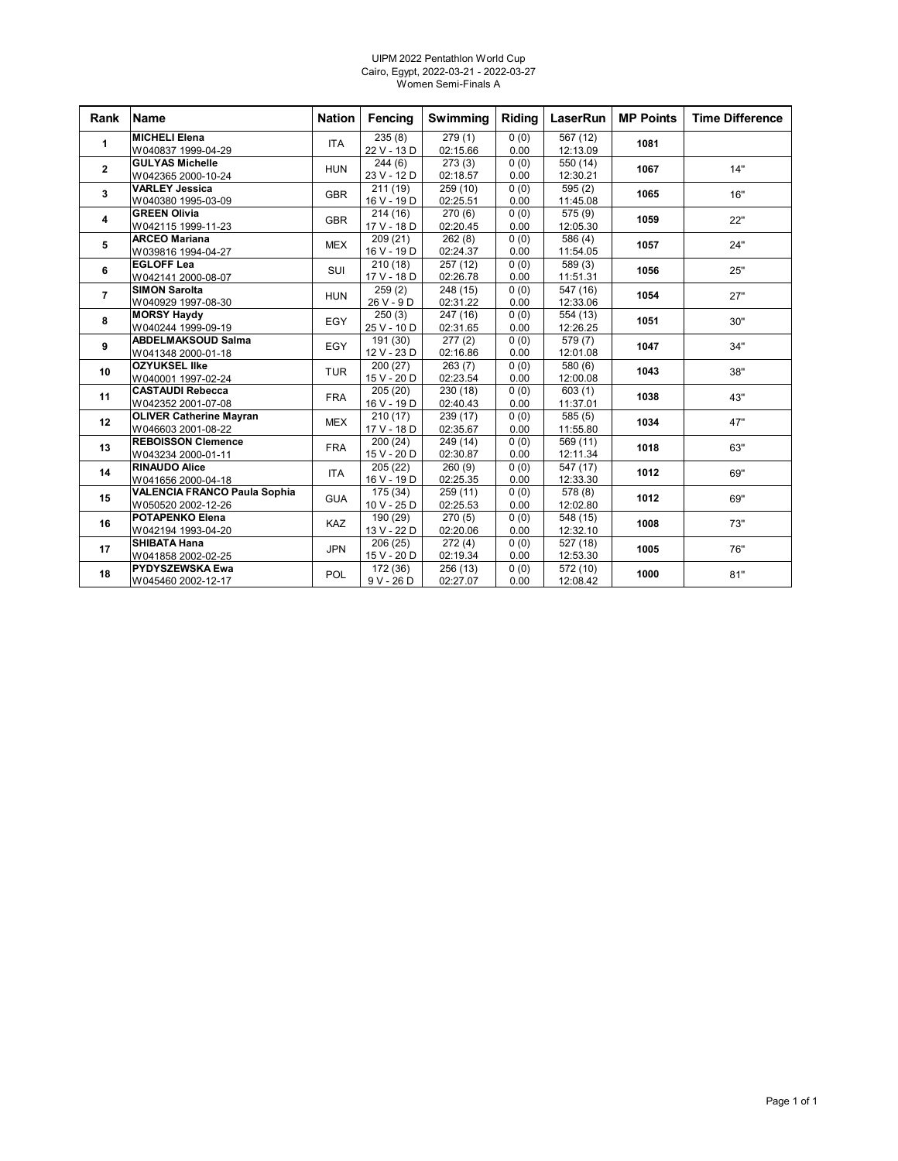#### UIPM 2022 Pentathlon World Cup Cairo, Egypt, 2022-03-21 - 2022-03-27 Women Semi-Finals A

| Rank                    | <b>Name</b>                         | <b>Nation</b> | Fencing     | <b>Swimming</b> | Riding | LaserRun             | <b>MP Points</b> | <b>Time Difference</b> |
|-------------------------|-------------------------------------|---------------|-------------|-----------------|--------|----------------------|------------------|------------------------|
| $\mathbf{1}$            | <b>MICHELI Elena</b>                | <b>ITA</b>    | 235(8)      | 279(1)          | 0(0)   | 567 (12)             | 1081             |                        |
|                         | W040837 1999-04-29                  |               | 22 V - 13 D | 02:15.66        | 0.00   | 12:13.09             |                  |                        |
| $\mathbf{2}$            | <b>GULYAS Michelle</b>              | <b>HUN</b>    | 244(6)      | 273(3)          | 0(0)   | 550 (14)             | 1067             | 14"                    |
|                         | W042365 2000-10-24                  |               | 23 V - 12 D | 02:18.57        | 0.00   | 12:30.21             |                  |                        |
| 3                       | <b>VARLEY Jessica</b>               | <b>GBR</b>    | 211 (19)    | 259 (10)        | 0(0)   | $\overline{595}$ (2) | 1065             | 16"                    |
|                         | W040380 1995-03-09                  |               | 16 V - 19 D | 02:25.51        | 0.00   | 11:45.08             |                  |                        |
| $\overline{\mathbf{4}}$ | <b>GREEN Olivia</b>                 | <b>GBR</b>    | 214(16)     | 270(6)          | 0(0)   | 575 (9)              | 1059             | 22"                    |
|                         | W042115 1999-11-23                  |               | 17 V - 18 D | 02:20.45        | 0.00   | 12:05.30             |                  |                        |
| 5                       | <b>ARCEO Mariana</b>                | <b>MEX</b>    | 209 (21)    | 262(8)          | 0(0)   | 586 (4)              | 1057             | 24"                    |
|                         | W039816 1994-04-27                  |               | 16 V - 19 D | 02:24.37        | 0.00   | 11:54.05             |                  |                        |
| 6                       | <b>EGLOFF Lea</b>                   | SUI           | 210(18)     | 257 (12)        | 0(0)   | 589 (3)              | 1056             | 25"                    |
|                         | W042141 2000-08-07                  |               | 17 V - 18 D | 02:26.78        | 0.00   | 11:51.31             |                  |                        |
| 7                       | <b>SIMON Sarolta</b>                | <b>HUN</b>    | 259(2)      | 248 (15)        | 0(0)   | 547 (16)             | 1054             | 27"                    |
|                         | W040929 1997-08-30                  |               | 26 V - 9 D  | 02:31.22        | 0.00   | 12:33.06             |                  |                        |
| 8                       | <b>MORSY Haydy</b>                  | EGY           | 250(3)      | 247 (16)        | 0(0)   | 554 (13)             | 1051             | 30"                    |
|                         | W040244 1999-09-19                  |               | 25 V - 10 D | 02:31.65        | 0.00   | 12:26.25             |                  |                        |
| 9                       | <b>ABDELMAKSOUD Salma</b>           | <b>EGY</b>    | 191 (30)    | 277(2)          | 0(0)   | 579 (7)              | 1047             | 34"                    |
|                         | W041348 2000-01-18                  |               | 12 V - 23 D | 02:16.86        | 0.00   | 12:01.08             |                  |                        |
| 10                      | <b>OZYUKSEL IIke</b>                | <b>TUR</b>    | 200(27)     | 263(7)          | 0(0)   | 580 (6)              | 1043             | 38"                    |
|                         | W040001 1997-02-24                  |               | 15 V - 20 D | 02:23.54        | 0.00   | 12:00.08             |                  |                        |
| 11                      | <b>CASTAUDI Rebecca</b>             | <b>FRA</b>    | 205(20)     | 230(18)         | 0(0)   | 603(1)               | 1038             | 43"                    |
|                         | W042352 2001-07-08                  |               | 16 V - 19 D | 02:40.43        | 0.00   | 11:37.01             |                  |                        |
| 12                      | <b>OLIVER Catherine Mayran</b>      | <b>MEX</b>    | 210(17)     | 239 (17)        | 0(0)   | 585(5)               | 1034             | 47"                    |
|                         | W046603 2001-08-22                  |               | 17 V - 18 D | 02:35.67        | 0.00   | 11:55.80             |                  |                        |
| 13                      | <b>REBOISSON Clemence</b>           | <b>FRA</b>    | 200(24)     | 249 (14)        | 0(0)   | 569 (11)             | 1018             | 63"                    |
|                         | W043234 2000-01-11                  |               | 15 V - 20 D | 02:30.87        | 0.00   | 12:11.34             |                  |                        |
| 14                      | <b>RINAUDO Alice</b>                | <b>ITA</b>    | 205(22)     | 260(9)          | 0(0)   | 547 (17)             | 1012             | 69"                    |
|                         | W041656 2000-04-18                  |               | 16 V - 19 D | 02:25.35        | 0.00   | 12:33.30             |                  |                        |
| 15                      | <b>VALENCIA FRANCO Paula Sophia</b> | <b>GUA</b>    | 175(34)     | 259 (11)        | 0(0)   | 578 (8)              | 1012             | 69"                    |
|                         | W050520 2002-12-26                  |               | 10 V - 25 D | 02:25.53        | 0.00   | 12:02.80             |                  |                        |
| 16                      | POTAPENKO Elena                     | <b>KAZ</b>    | 190 (29)    | 270(5)          | 0(0)   | 548 (15)             | 1008             | 73"                    |
|                         | W042194 1993-04-20                  |               | 13 V - 22 D | 02:20.06        | 0.00   | 12:32.10             |                  |                        |
| 17                      | <b>SHIBATA Hana</b>                 | <b>JPN</b>    | 206(25)     | 272(4)          | 0(0)   | 527 (18)             | 1005             | 76"                    |
|                         | W041858 2002-02-25                  |               | 15 V - 20 D | 02:19.34        | 0.00   | 12:53.30             |                  |                        |
| 18                      | <b>PYDYSZEWSKA Ewa</b>              | <b>POL</b>    | 172 (36)    | 256 (13)        | 0(0)   | 572 (10)             | 1000             | 81"                    |
|                         | W045460 2002-12-17                  |               | 9 V - 26 D  | 02:27.07        | 0.00   | 12:08.42             |                  |                        |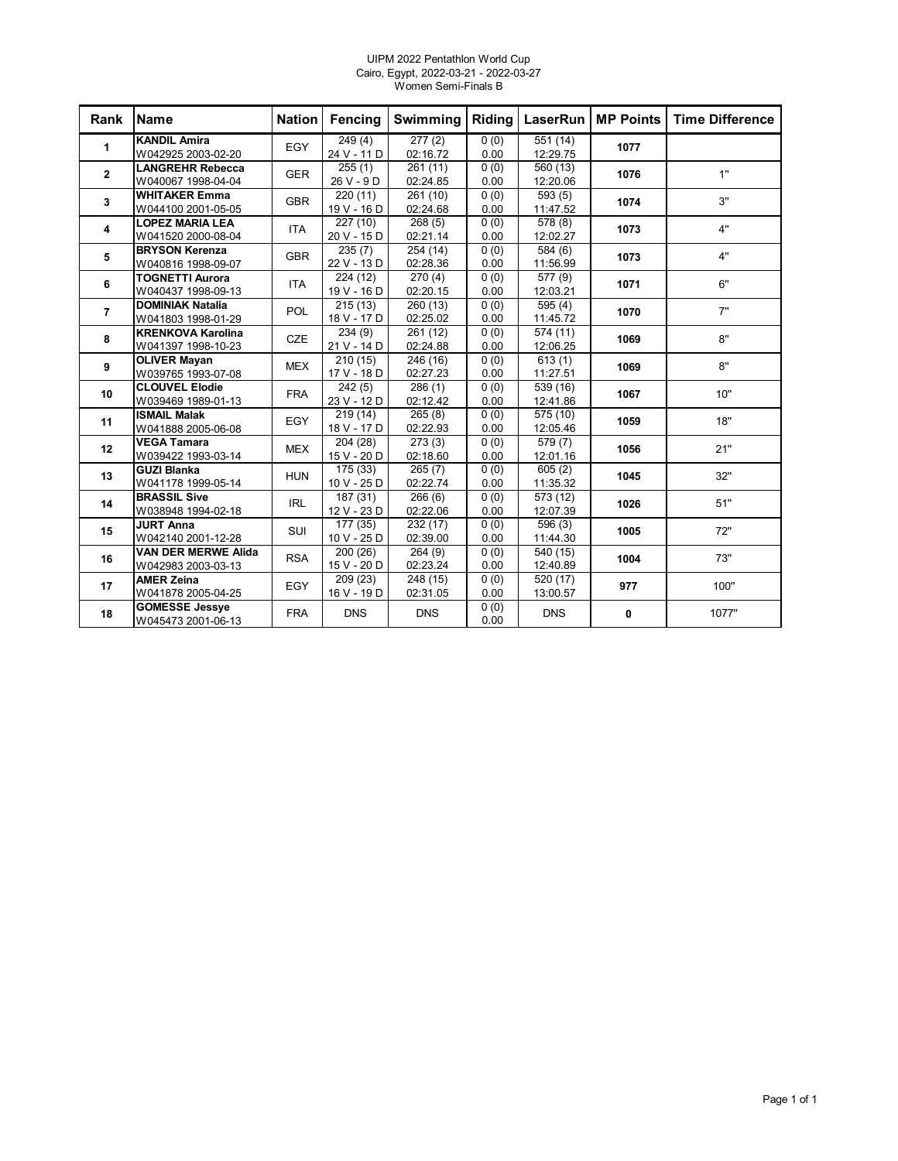### UIPM 2022 Pentathlon World Cup Cairo, Egypt, 2022-03-21 - 2022-03-27 Women Semi-Finals B

| Rank           | <b>Name</b>                                      | <b>Nation</b> | Fencing                 | Swimming                     | Riding       |                                  | LaserRun   MP Points | <b>Time Difference</b> |
|----------------|--------------------------------------------------|---------------|-------------------------|------------------------------|--------------|----------------------------------|----------------------|------------------------|
| 1              | <b>KANDIL Amira</b><br>W042925 2003-02-20        | EGY           | 249(4)<br>24 V - 11 D   | 277(2)<br>02:16.72           | 0(0)<br>0.00 | 551(14)<br>12:29.75              | 1077                 |                        |
| $\overline{2}$ | <b>LANGREHR Rebecca</b><br>W040067 1998-04-04    | <b>GER</b>    | 255(1)<br>26 V - 9 D    | 261(11)<br>02:24.85          | 0(0)<br>0.00 | 560 (13)<br>12:20.06             | 1076                 | 1"                     |
| $\mathbf{3}$   | <b>WHITAKER Emma</b><br>W044100 2001-05-05       | <b>GBR</b>    | 220 (11)<br>19 V - 16 D | 261 (10)<br>02:24.68         | 0(0)<br>0.00 | 593 (5)<br>11:47.52              | 1074                 | 3"                     |
| 4              | <b>LOPEZ MARIA LEA</b><br>W041520 2000-08-04     | <b>ITA</b>    | 227 (10)<br>20 V - 15 D | 268(5)<br>02:21.14           | 0(0)<br>0.00 | $\overline{578(8)}$<br>12:02.27  | 1073                 | 4"                     |
| 5              | <b>BRYSON Kerenza</b><br>W040816 1998-09-07      | <b>GBR</b>    | 235(7)<br>22 V - 13 D   | 254 (14)<br>02:28.36         | 0(0)<br>0.00 | 584 (6)<br>11:56.99              | 1073                 | 4"                     |
| 6              | <b>TOGNETTI Aurora</b><br>W040437 1998-09-13     | <b>ITA</b>    | 224 (12)<br>19 V - 16 D | 270(4)<br>02:20.15           | 0(0)<br>0.00 | $\overline{577}$ (9)<br>12:03.21 | 1071                 | 6"                     |
| $\overline{7}$ | <b>DOMINIAK Natalia</b><br>W041803 1998-01-29    | <b>POL</b>    | 215(13)<br>18 V - 17 D  | 260 (13)<br>02:25.02         | 0(0)<br>0.00 | 595(4)<br>11:45.72               | 1070                 | 7"                     |
| 8              | <b>KRENKOVA Karolina</b><br>W041397 1998-10-23   | CZE           | 234(9)<br>21 V - 14 D   | 261 (12)<br>02:24.88         | 0(0)<br>0.00 | 574 (11)<br>12:06.25             | 1069                 | 8"                     |
| 9              | <b>OLIVER Mayan</b><br>W039765 1993-07-08        | <b>MEX</b>    | 210(15)<br>17 V - 18 D  | 246 (16)<br>02:27.23         | 0(0)<br>0.00 | 613(1)<br>11:27.51               | 1069                 | 8"                     |
| 10             | <b>CLOUVEL Elodie</b><br>W039469 1989-01-13      | <b>FRA</b>    | 242(5)<br>23 V - 12 D   | $\sqrt{286}$ (1)<br>02:12.42 | 0(0)<br>0.00 | 539 (16)<br>12:41.86             | 1067                 | 10"                    |
| 11             | <b>ISMAIL Malak</b><br>W041888 2005-06-08        | EGY           | 219 (14)<br>18 V - 17 D | 265(8)<br>02:22.93           | 0(0)<br>0.00 | 575 (10)<br>12:05.46             | 1059                 | 18"                    |
| 12             | <b>VEGA Tamara</b><br>W039422 1993-03-14         | <b>MEX</b>    | 204 (28)<br>15 V - 20 D | 273(3)<br>02:18.60           | 0(0)<br>0.00 | 579 (7)<br>12:01.16              | 1056                 | 21"                    |
| 13             | <b>GUZI Blanka</b><br>W041178 1999-05-14         | <b>HUN</b>    | 175 (33)<br>10 V - 25 D | 265(7)<br>02:22.74           | 0(0)<br>0.00 | 605(2)<br>11:35.32               | 1045                 | 32"                    |
| 14             | <b>BRASSIL Sive</b><br>W038948 1994-02-18        | <b>IRL</b>    | 187 (31)<br>12 V - 23 D | 266(6)<br>02:22.06           | 0(0)<br>0.00 | 573 (12)<br>12:07.39             | 1026                 | 51"                    |
| 15             | <b>JURT Anna</b><br>W042140 2001-12-28           | SUI           | 177 (35)<br>10 V - 25 D | 232 (17)<br>02:39.00         | 0(0)<br>0.00 | 596 (3)<br>11:44.30              | 1005                 | 72"                    |
| 16             | <b>VAN DER MERWE Alida</b><br>W042983 2003-03-13 | <b>RSA</b>    | 200(26)<br>15 V - 20 D  | $\sqrt{264(9)}$<br>02:23.24  | 0(0)<br>0.00 | 540(15)<br>12:40.89              | 1004                 | 73"                    |
| 17             | <b>AMER Zeina</b><br>W041878 2005-04-25          | EGY           | 209(23)<br>16 V - 19 D  | 248 (15)<br>02:31.05         | 0(0)<br>0.00 | 520 (17)<br>13:00.57             | 977                  | 100"                   |
| 18             | <b>GOMESSE Jessve</b><br>W045473 2001-06-13      | <b>FRA</b>    | <b>DNS</b>              | <b>DNS</b>                   | 0(0)<br>0.00 | <b>DNS</b>                       | 0                    | 1077"                  |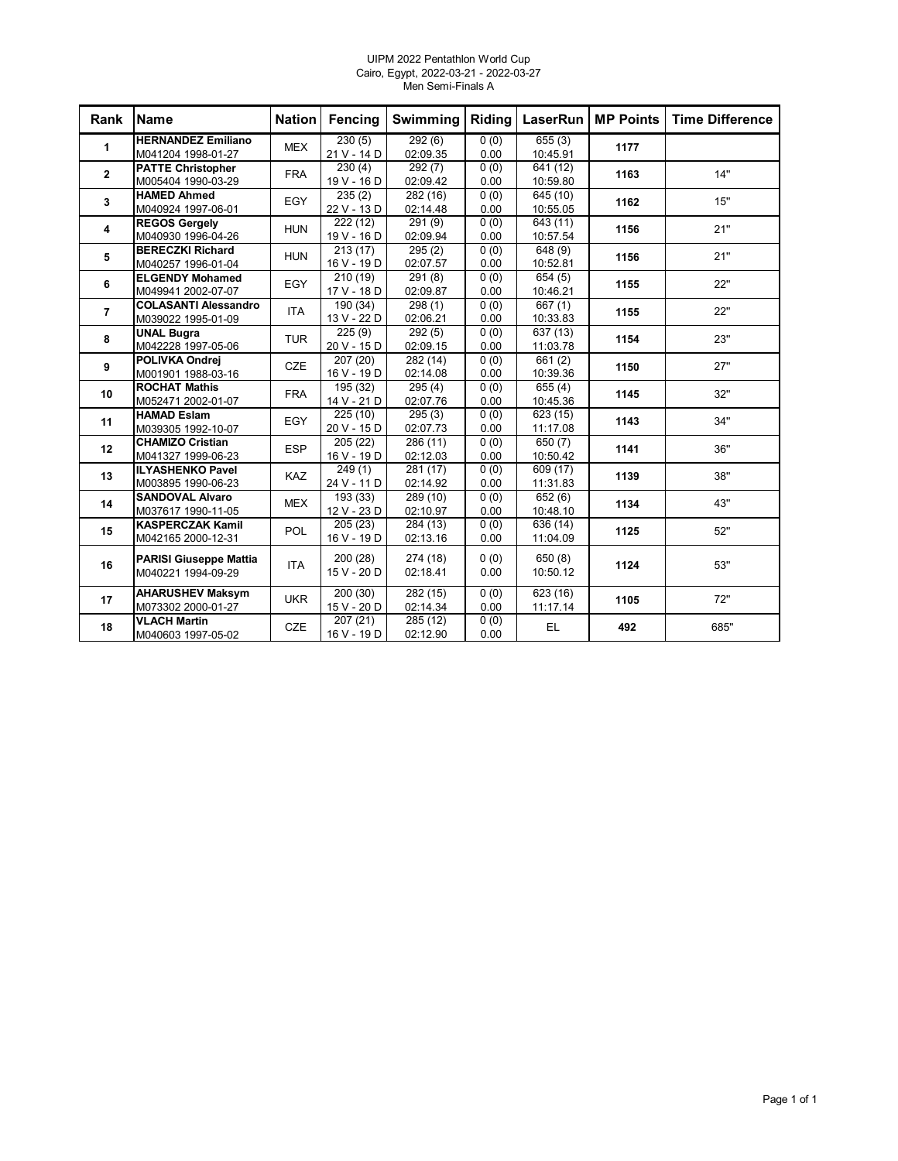## UIPM 2022 Pentathlon World Cup Cairo, Egypt, 2022-03-21 - 2022-03-27 Men Semi-Finals A

| Rank                 | <b>Name</b>                   | <b>Nation</b> | <b>Fencing</b> | Swimming | Riding | LaserRun              | <b>MP Points</b> | <b>Time Difference</b> |
|----------------------|-------------------------------|---------------|----------------|----------|--------|-----------------------|------------------|------------------------|
| $\blacktriangleleft$ | <b>HERNANDEZ Emiliano</b>     | <b>MEX</b>    | 230(5)         | 292(6)   | 0(0)   | 655(3)                | 1177             |                        |
|                      | M041204 1998-01-27            |               | 21 V - 14 D    | 02:09.35 | 0.00   | 10:45.91              |                  |                        |
| $\overline{2}$       | <b>PATTE Christopher</b>      | <b>FRA</b>    | 230(4)         | 292(7)   | 0(0)   | 641 (12)              | 1163             | 14"                    |
|                      | M005404 1990-03-29            |               | 19 V - 16 D    | 02:09.42 | 0.00   | 10:59.80              |                  |                        |
| $\mathbf{3}$         | <b>HAMED Ahmed</b>            | EGY           | 235(2)         | 282 (16) | 0(0)   | 645 (10)              | 1162             | 15"                    |
|                      | M040924 1997-06-01            |               | 22 V - 13 D    | 02:14.48 | 0.00   | 10:55.05              |                  |                        |
| 4                    | <b>REGOS Gergely</b>          | <b>HUN</b>    | 222(12)        | 291 (9)  | 0(0)   | 643 (11)              | 1156             | 21"                    |
|                      | M040930 1996-04-26            |               | 19 V - 16 D    | 02:09.94 | 0.00   | 10:57.54              |                  |                        |
| 5                    | <b>BERECZKI Richard</b>       | <b>HUN</b>    | 213(17)        | 295(2)   | 0(0)   | 648 (9)               | 1156             | 21"                    |
|                      | M040257 1996-01-04            |               | 16 V - 19 D    | 02:07.57 | 0.00   | 10:52.81              |                  |                        |
| 6                    | <b>ELGENDY Mohamed</b>        | EGY           | 210(19)        | 291(8)   | 0(0)   | 654(5)                | 1155             | 22"                    |
|                      | M049941 2002-07-07            |               | 17 V - 18 D    | 02:09.87 | 0.00   | 10:46.21              |                  |                        |
| $\overline{7}$       | <b>COLASANTI Alessandro</b>   | <b>ITA</b>    | 190 (34)       | 298(1)   | 0(0)   | 667(1)                | 1155             | 22"                    |
|                      | M039022 1995-01-09            |               | 13 V - 22 D    | 02:06.21 | 0.00   | 10:33.83              |                  |                        |
| 8                    | <b>UNAL Bugra</b>             | <b>TUR</b>    | 225(9)         | 292(5)   | 0(0)   | 637 (13)              | 1154             | 23"                    |
|                      | M042228 1997-05-06            |               | 20 V - 15 D    | 02:09.15 | 0.00   | 11:03.78              |                  |                        |
| 9                    | <b>POLIVKA Ondrej</b>         | <b>CZE</b>    | 207 (20)       | 282 (14) | 0(0)   | $\overline{661}$ (2)  | 1150             | 27"                    |
|                      | M001901 1988-03-16            |               | 16 V - 19 D    | 02:14.08 | 0.00   | 10:39.36              |                  |                        |
| 10                   | <b>ROCHAT Mathis</b>          | <b>FRA</b>    | 195 (32)       | 295(4)   | 0(0)   | 655 (4)               | 1145             | 32"                    |
|                      | M052471 2002-01-07            |               | 14 V - 21 D    | 02:07.76 | 0.00   | 10:45.36              |                  |                        |
| 11                   | <b>HAMAD Eslam</b>            | EGY           | 225 (10)       | 295(3)   | 0(0)   | 623 (15)              | 1143             | 34"                    |
|                      | M039305 1992-10-07            |               | 20 V - 15 D    | 02:07.73 | 0.00   | 11:17.08              |                  |                        |
| 12                   | <b>CHAMIZO Cristian</b>       | <b>ESP</b>    | 205(22)        | 286 (11) | 0(0)   | 650 (7)               | 1141             | 36"                    |
|                      | M041327 1999-06-23            |               | 16 V - 19 D    | 02:12.03 | 0.00   | 10:50.42              |                  |                        |
| 13                   | <b>ILYASHENKO Pavel</b>       | <b>KAZ</b>    | 249(1)         | 281 (17) | 0(0)   | 609(17)               | 1139             | 38"                    |
|                      | M003895 1990-06-23            |               | 24 V - 11 D    | 02:14.92 | 0.00   | 11:31.83              |                  |                        |
| 14                   | <b>SANDOVAL Alvaro</b>        | <b>MEX</b>    | 193 (33)       | 289 (10) | 0(0)   | 652 (6)               | 1134             | 43"                    |
|                      | M037617 1990-11-05            |               | 12 V - 23 D    | 02:10.97 | 0.00   | 10:48.10              |                  |                        |
| 15                   | <b>KASPERCZAK Kamil</b>       | <b>POL</b>    | 205(23)        | 284 (13) | 0(0)   | $\overline{636}$ (14) | 1125             | 52"                    |
|                      | M042165 2000-12-31            |               | 16 V - 19 D    | 02:13.16 | 0.00   | 11:04.09              |                  |                        |
|                      | <b>PARISI Giuseppe Mattia</b> |               | 200 (28)       | 274 (18) | 0(0)   | 650 (8)               |                  |                        |
| 16                   | M040221 1994-09-29            | <b>ITA</b>    | 15 V - 20 D    | 02:18.41 | 0.00   | 10:50.12              | 1124             | 53"                    |
|                      |                               |               |                |          |        |                       |                  |                        |
| 17                   | <b>AHARUSHEV Maksym</b>       | <b>UKR</b>    | 200(30)        | 282(15)  | 0(0)   | 623(16)               | 1105             | 72"                    |
|                      | M073302 2000-01-27            |               | 15 V - 20 D    | 02:14.34 | 0.00   | 11:17.14              |                  |                        |
| 18                   | <b>VLACH Martin</b>           | <b>CZE</b>    | 207(21)        | 285 (12) | 0(0)   | EL.                   | 492              | 685"                   |
|                      | M040603 1997-05-02            |               | 16 V - 19 D    | 02:12.90 | 0.00   |                       |                  |                        |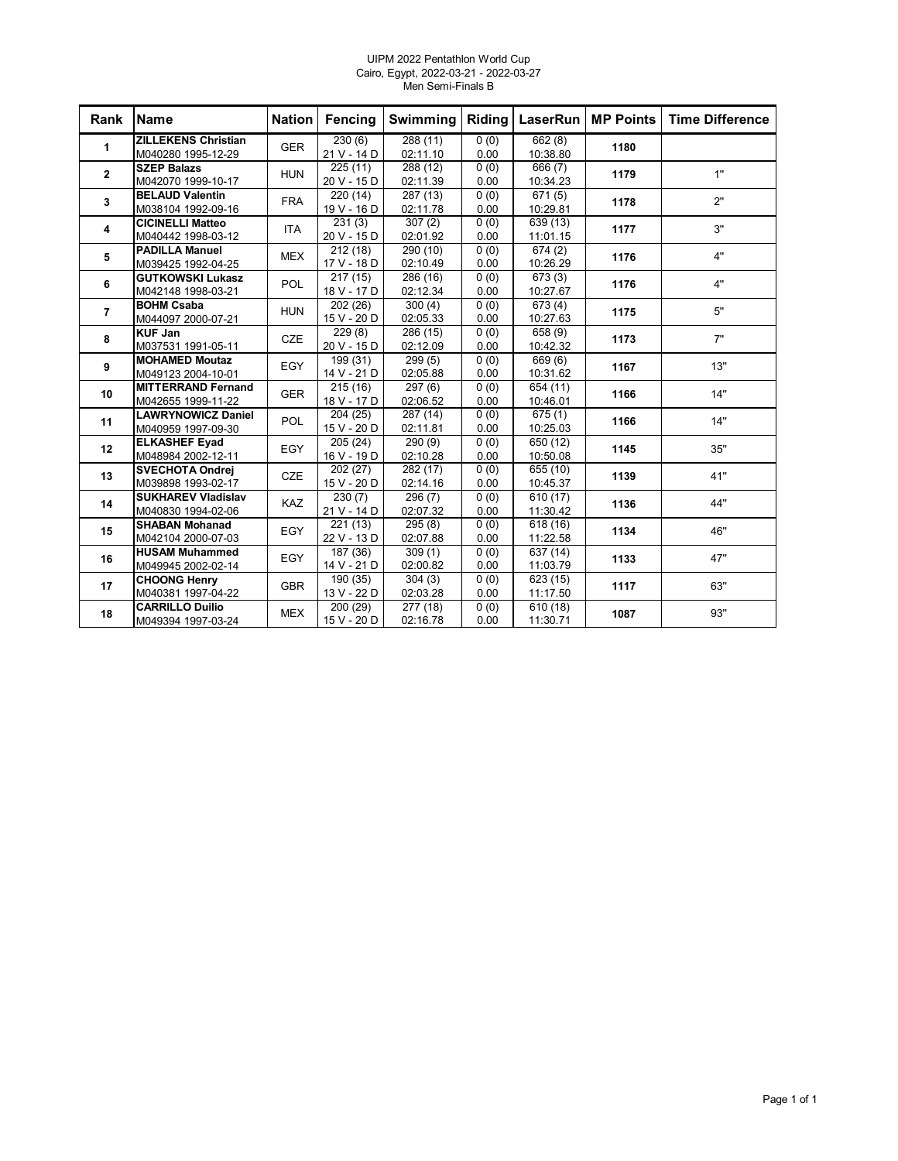## UIPM 2022 Pentathlon World Cup Cairo, Egypt, 2022-03-21 - 2022-03-27 Men Semi-Finals B

| Rank            | <b>Name</b>                                      | <b>Nation</b> | Fencing                 | Swimming                         | Riding       | <b>LaserRun</b>                  | <b>MP Points</b> | <b>Time Difference</b> |
|-----------------|--------------------------------------------------|---------------|-------------------------|----------------------------------|--------------|----------------------------------|------------------|------------------------|
| 1               | <b>ZILLEKENS Christian</b><br>M040280 1995-12-29 | <b>GER</b>    | 230(6)<br>21 V - 14 D   | 288(11)<br>02:11.10              | 0(0)<br>0.00 | 662(8)<br>10:38.80               | 1180             |                        |
| $\mathbf{2}$    | <b>SZEP Balazs</b><br>M042070 1999-10-17         | <b>HUN</b>    | 225(11)<br>20 V - 15 D  | 288 (12)<br>02:11.39             | 0(0)<br>0.00 | 666 (7)<br>10:34.23              | 1179             | 1"                     |
| 3               | <b>BELAUD Valentin</b><br>M038104 1992-09-16     | <b>FRA</b>    | 220(14)<br>19 V - 16 D  | 287 (13)<br>02:11.78             | 0(0)<br>0.00 | 671(5)<br>10:29.81               | 1178             | 2"                     |
| 4               | <b>CICINELLI Matteo</b><br>M040442 1998-03-12    | <b>ITA</b>    | 231(3)<br>20 V - 15 D   | 307(2)<br>02:01.92               | 0(0)<br>0.00 | 639 (13)<br>11:01.15             | 1177             | 3"                     |
| 5               | <b>PADILLA Manuel</b><br>M039425 1992-04-25      | <b>MEX</b>    | 212(18)<br>17 V - 18 D  | 290 (10)<br>02:10.49             | 0(0)<br>0.00 | 674(2)<br>10:26.29               | 1176             | 4"                     |
| 6               | <b>GUTKOWSKI Lukasz</b><br>M042148 1998-03-21    | <b>POL</b>    | 217(15)<br>18 V - 17 D  | 286 (16)<br>02:12.34             | 0(0)<br>0.00 | 673(3)<br>10:27.67               | 1176             | 4"                     |
| $\overline{7}$  | <b>BOHM Csaba</b><br>M044097 2000-07-21          | <b>HUN</b>    | 202(26)<br>15 V - 20 D  | $\frac{1}{300(4)}$<br>02:05.33   | 0(0)<br>0.00 | 673(4)<br>10:27.63               | 1175             | 5"                     |
| 8               | <b>KUF Jan</b><br>M037531 1991-05-11             | CZE           | 229(8)<br>20 V - 15 D   | 286 (15)<br>02:12.09             | 0(0)<br>0.00 | 658 (9)<br>10:42.32              | 1173             | 7"                     |
| 9               | <b>MOHAMED Moutaz</b><br>M049123 2004-10-01      | <b>EGY</b>    | 199 (31)<br>14 V - 21 D | $\overline{299}$ (5)<br>02:05.88 | 0(0)<br>0.00 | $\overline{669}$ (6)<br>10:31.62 | 1167             | 13"                    |
| 10 <sup>1</sup> | <b>MITTERRAND Fernand</b><br>M042655 1999-11-22  | <b>GER</b>    | 215(16)<br>18 V - 17 D  | 297(6)<br>02:06.52               | 0(0)<br>0.00 | 654 (11)<br>10:46.01             | 1166             | 14"                    |
| 11              | <b>LAWRYNOWICZ Daniel</b><br>M040959 1997-09-30  | <b>POL</b>    | 204(25)<br>15 V - 20 D  | 287 (14)<br>02:11.81             | 0(0)<br>0.00 | $\overline{675}$ (1)<br>10:25.03 | 1166             | 14"                    |
| 12              | <b>ELKASHEF Eyad</b><br>M048984 2002-12-11       | EGY           | 205 (24)<br>16 V - 19 D | 290(9)<br>02:10.28               | 0(0)<br>0.00 | 650 (12)<br>10:50.08             | 1145             | 35"                    |
| 13              | <b>SVECHOTA Ondrej</b><br>M039898 1993-02-17     | CZE           | 202(27)<br>15 V - 20 D  | 282 (17)<br>02:14.16             | 0(0)<br>0.00 | 655 (10)<br>10:45.37             | 1139             | 41"                    |
| 14              | <b>SUKHAREV Vladislav</b><br>M040830 1994-02-06  | KAZ           | 230(7)<br>21 V - 14 D   | 296(7)<br>02:07.32               | 0(0)<br>0.00 | 610 (17)<br>11:30.42             | 1136             | 44"                    |
| 15              | <b>SHABAN Mohanad</b><br>M042104 2000-07-03      | EGY           | 221(13)<br>22 V - 13 D  | 295(8)<br>02:07.88               | 0(0)<br>0.00 | 618 (16)<br>11:22.58             | 1134             | 46"                    |
| 16              | <b>HUSAM Muhammed</b><br>M049945 2002-02-14      | EGY           | 187 (36)<br>14 V - 21 D | 309(1)<br>02:00.82               | 0(0)<br>0.00 | 637 (14)<br>11:03.79             | 1133             | 47"                    |
| 17              | <b>CHOONG Henry</b><br>M040381 1997-04-22        | <b>GBR</b>    | 190 (35)<br>13 V - 22 D | 304(3)<br>02:03.28               | 0(0)<br>0.00 | 623 (15)<br>11:17.50             | 1117             | 63"                    |
| 18              | <b>CARRILLO Duilio</b><br>M049394 1997-03-24     | <b>MEX</b>    | 200(29)<br>15 V - 20 D  | 277 (18)<br>02:16.78             | 0(0)<br>0.00 | 610(18)<br>11:30.71              | 1087             | 93"                    |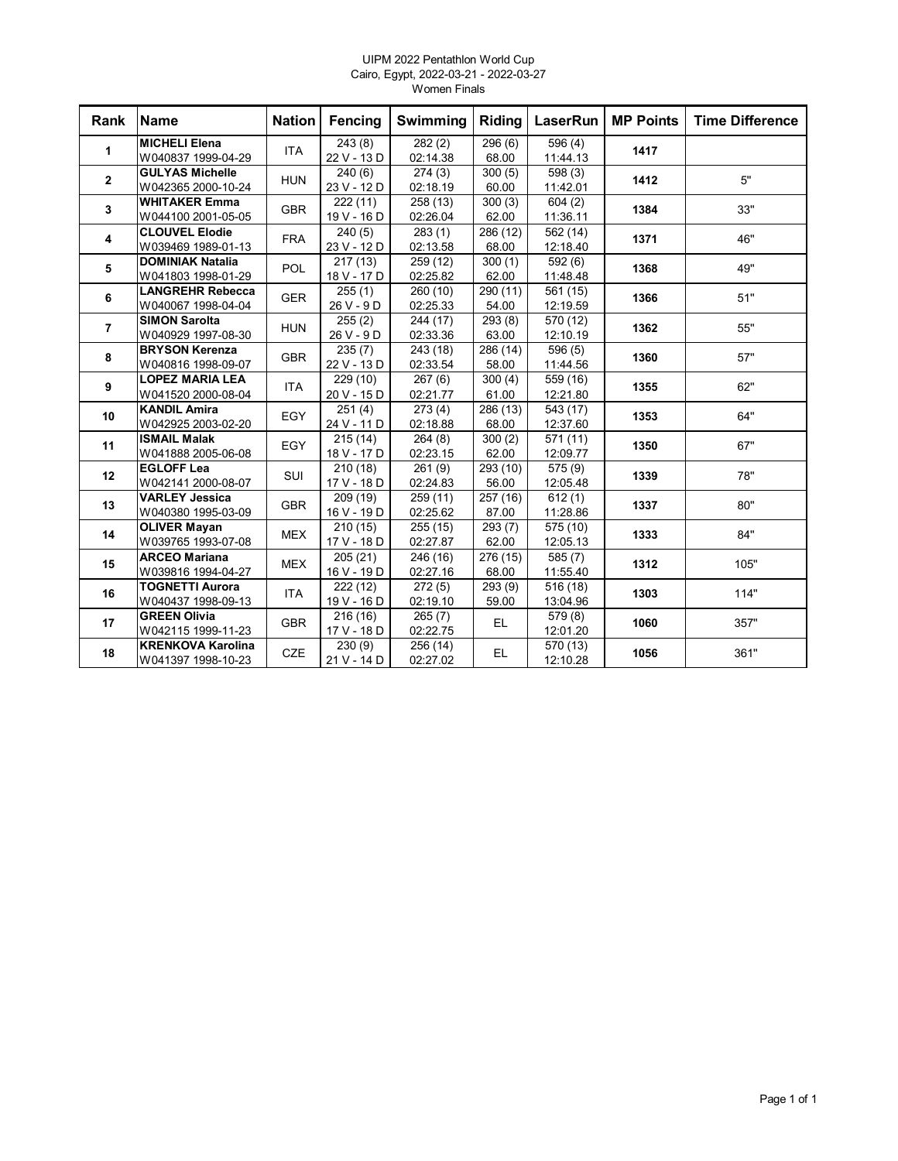#### UIPM 2022 Pentathlon World Cup Cairo, Egypt, 2022-03-21 - 2022-03-27 Women Finals

| Rank                    | Name                     | <b>Nation</b> | Fencing     | Swimming             | Riding   | LaserRun             | <b>MP Points</b> | <b>Time Difference</b> |
|-------------------------|--------------------------|---------------|-------------|----------------------|----------|----------------------|------------------|------------------------|
| 1                       | <b>MICHELI Elena</b>     | <b>ITA</b>    | 243(8)      | 282(2)               | 296(6)   | 596 (4)              | 1417             |                        |
|                         | W040837 1999-04-29       |               | 22 V - 13 D | 02:14.38             | 68.00    | 11:44.13             |                  |                        |
| $\mathbf{2}$            | <b>GULYAS Michelle</b>   | <b>HUN</b>    | 240(6)      | 274(3)               | 300(5)   | $\overline{598}$ (3) | 1412             | 5"                     |
|                         | W042365 2000-10-24       |               | 23 V - 12 D | 02:18.19             | 60.00    | 11:42.01             |                  |                        |
| 3                       | <b>WHITAKER Emma</b>     | <b>GBR</b>    | 222(11)     | 258 (13)             | 300(3)   | 604(2)               | 1384             | 33"                    |
|                         | W044100 2001-05-05       |               | 19 V - 16 D | 02:26.04             | 62.00    | 11:36.11             |                  |                        |
| $\overline{\mathbf{4}}$ | <b>CLOUVEL Elodie</b>    | <b>FRA</b>    | 240(5)      | $\overline{283}$ (1) | 286 (12) | 562 (14)             | 1371             | 46"                    |
|                         | W039469 1989-01-13       |               | 23 V - 12 D | 02:13.58             | 68.00    | 12:18.40             |                  |                        |
| 5                       | <b>DOMINIAK Natalia</b>  | POL           | 217(13)     | 259 (12)             | 300(1)   | 592 (6)              | 1368             | 49"                    |
|                         | W041803 1998-01-29       |               | 18 V - 17 D | 02:25.82             | 62.00    | 11:48.48             |                  |                        |
| 6                       | <b>LANGREHR Rebecca</b>  | <b>GER</b>    | 255(1)      | 260 (10)             | 290 (11) | 561 (15)             | 1366             | 51"                    |
|                         | W040067 1998-04-04       |               | 26 V - 9 D  | 02:25.33             | 54.00    | 12:19.59             |                  |                        |
| $\overline{7}$          | <b>SIMON Sarolta</b>     | <b>HUN</b>    | 255(2)      | 244 (17)             | 293(8)   | 570 (12)             | 1362             | 55"                    |
|                         | W040929 1997-08-30       |               | 26 V - 9 D  | 02:33.36             | 63.00    | 12:10.19             |                  |                        |
| 8                       | <b>BRYSON Kerenza</b>    | <b>GBR</b>    | 235(7)      | 243 (18)             | 286 (14) | 596(5)               | 1360             | 57"                    |
|                         | W040816 1998-09-07       |               | 22 V - 13 D | 02:33.54             | 58.00    | 11:44.56             |                  |                        |
| 9                       | <b>LOPEZ MARIA LEA</b>   | <b>ITA</b>    | 229(10)     | 267(6)               | 300(4)   | 559 (16)             | 1355             | 62"                    |
|                         | W041520 2000-08-04       |               | 20 V - 15 D | 02:21.77             | 61.00    | 12:21.80             |                  |                        |
| 10                      | <b>KANDIL Amira</b>      | EGY           | 251(4)      | $\overline{273}$ (4) | 286 (13) | 543 (17)             | 1353             | 64"                    |
|                         | W042925 2003-02-20       |               | 24 V - 11 D | 02:18.88             | 68.00    | 12:37.60             |                  |                        |
| 11                      | <b>ISMAIL Malak</b>      | EGY           | 215(14)     | 264(8)               | 300(2)   | 571(11)              | 1350             | 67"                    |
|                         | W041888 2005-06-08       |               | 18 V - 17 D | 02:23.15             | 62.00    | 12:09.77             |                  |                        |
| 12                      | <b>EGLOFF Lea</b>        | SUI           | 210(18)     | 261(9)               | 293 (10) | 575 (9)              | 1339             | 78"                    |
|                         | W042141 2000-08-07       |               | 17 V - 18 D | 02:24.83             | 56.00    | 12:05.48             |                  |                        |
| 13                      | <b>VARLEY Jessica</b>    | <b>GBR</b>    | 209 (19)    | 259(11)              | 257 (16) | 612(1)               | 1337             | 80"                    |
|                         | W040380 1995-03-09       |               | 16 V - 19 D | 02:25.62             | 87.00    | 11:28.86             |                  |                        |
| 14                      | <b>OLIVER Mayan</b>      | <b>MEX</b>    | 210(15)     | 255(15)              | 293(7)   | 575 (10)             | 1333             | 84"                    |
|                         | W039765 1993-07-08       |               | 17 V - 18 D | 02:27.87             | 62.00    | 12:05.13             |                  |                        |
| 15                      | <b>ARCEO Mariana</b>     | <b>MEX</b>    | 205(21)     | 246 (16)             | 276 (15) | 585(7)               | 1312             | 105"                   |
|                         | W039816 1994-04-27       |               | 16 V - 19 D | 02:27.16             | 68.00    | 11:55.40             |                  |                        |
| 16                      | <b>TOGNETTI Aurora</b>   | <b>ITA</b>    | 222 (12)    | 272(5)               | 293 (9)  | 516 (18)             | 1303             | 114"                   |
|                         | W040437 1998-09-13       |               | 19 V - 16 D | 02:19.10             | 59.00    | 13:04.96             |                  |                        |
| 17                      | <b>GREEN Olivia</b>      | <b>GBR</b>    | 216(16)     | 265(7)               | EL.      | 579 (8)              | 1060             | 357"                   |
|                         | W042115 1999-11-23       |               | 17 V - 18 D | 02:22.75             |          | 12:01.20             |                  |                        |
| 18                      | <b>KRENKOVA Karolina</b> | <b>CZE</b>    | 230(9)      | 256 (14)             | EL       | 570 (13)             | 1056             | 361"                   |
|                         | W041397 1998-10-23       |               | 21 V - 14 D | 02:27.02             |          | 12:10.28             |                  |                        |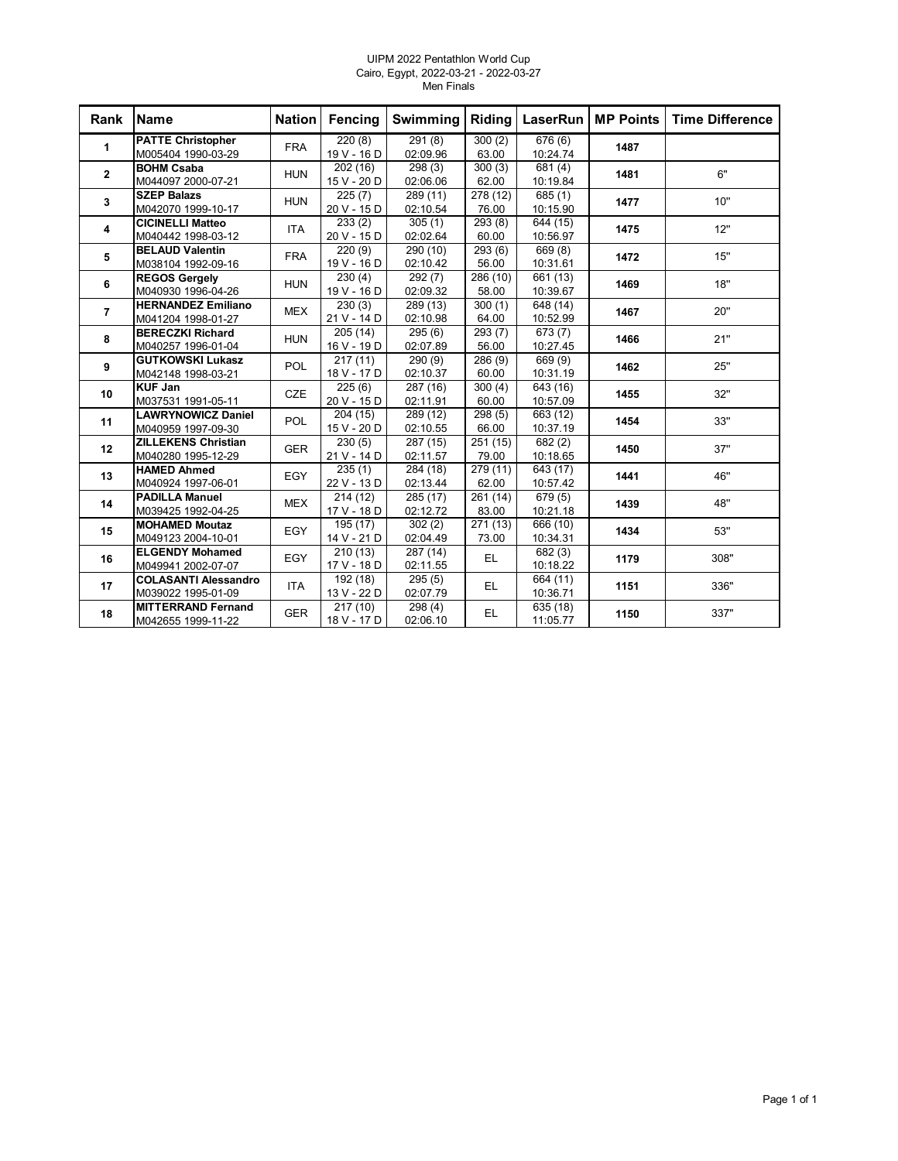#### UIPM 2022 Pentathlon World Cup Cairo, Egypt, 2022-03-21 - 2022-03-27 Men Finals

| Rank           | <b>Name</b>                                       | <b>Nation</b> | Fencing                 | <b>Swimming</b>      | Riding            | <b>LaserRun</b>      | <b>MP Points</b> | <b>Time Difference</b> |
|----------------|---------------------------------------------------|---------------|-------------------------|----------------------|-------------------|----------------------|------------------|------------------------|
| 1              | <b>PATTE Christopher</b><br>M005404 1990-03-29    | <b>FRA</b>    | 220(8)<br>19 V - 16 D   | 291(8)<br>02:09.96   | 300(2)<br>63.00   | 676(6)<br>10:24.74   | 1487             |                        |
| $\mathbf{2}$   | <b>BOHM Csaba</b><br>M044097 2000-07-21           | <b>HUN</b>    | 202(16)<br>15 V - 20 D  | 298(3)<br>02:06.06   | 300(3)<br>62.00   | 681(4)<br>10:19.84   | 1481             | 6"                     |
| $\mathbf{3}$   | <b>SZEP Balazs</b><br>M042070 1999-10-17          | <b>HUN</b>    | 225(7)<br>20 V - 15 D   | 289 (11)<br>02:10.54 | 278 (12)<br>76.00 | 685 (1)<br>10:15.90  | 1477             | 10"                    |
| 4              | <b>CICINELLI Matteo</b><br>M040442 1998-03-12     | <b>ITA</b>    | 233(2)<br>20 V - 15 D   | 305(1)<br>02:02.64   | 293(8)<br>60.00   | 644 (15)<br>10:56.97 | 1475             | 12"                    |
| 5              | <b>BELAUD Valentin</b><br>M038104 1992-09-16      | <b>FRA</b>    | 220(9)<br>19 V - 16 D   | 290 (10)<br>02:10.42 | 293(6)<br>56.00   | 669 (8)<br>10:31.61  | 1472             | 15"                    |
| 6              | <b>REGOS Gergely</b><br>M040930 1996-04-26        | <b>HUN</b>    | 230(4)<br>19 V - 16 D   | 292(7)<br>02:09.32   | 286 (10)<br>58.00 | 661 (13)<br>10:39.67 | 1469             | 18"                    |
| $\overline{7}$ | <b>HERNANDEZ Emiliano</b><br>M041204 1998-01-27   | <b>MEX</b>    | 230(3)<br>21 V - 14 D   | 289 (13)<br>02:10.98 | 300(1)<br>64.00   | 648 (14)<br>10:52.99 | 1467             | 20"                    |
| 8              | <b>BERECZKI Richard</b><br>M040257 1996-01-04     | <b>HUN</b>    | 205(14)<br>16 V - 19 D  | 295(6)<br>02:07.89   | 293(7)<br>56.00   | 673 (7)<br>10:27.45  | 1466             | 21"                    |
| 9              | <b>GUTKOWSKI Lukasz</b><br>M042148 1998-03-21     | <b>POL</b>    | 217(11)<br>18 V - 17 D  | 290(9)<br>02:10.37   | 286 (9)<br>60.00  | 669 (9)<br>10:31.19  | 1462             | 25"                    |
| 10             | <b>KUF Jan</b><br>M037531 1991-05-11              | <b>CZE</b>    | 225(6)<br>20 V - 15 D   | 287 (16)<br>02:11.91 | 300(4)<br>60.00   | 643 (16)<br>10:57.09 | 1455             | 32"                    |
| 11             | <b>LAWRYNOWICZ Daniel</b><br>M040959 1997-09-30   | POL           | 204 (15)<br>15 V - 20 D | 289 (12)<br>02:10.55 | 298(5)<br>66.00   | 663 (12)<br>10:37.19 | 1454             | 33"                    |
| 12             | <b>ZILLEKENS Christian</b><br>M040280 1995-12-29  | <b>GER</b>    | 230(5)<br>21 V - 14 D   | 287 (15)<br>02:11.57 | 251(15)<br>79.00  | 682 (2)<br>10:18.65  | 1450             | 37"                    |
| 13             | <b>HAMED Ahmed</b><br>M040924 1997-06-01          | EGY           | 235(1)<br>22 V - 13 D   | 284 (18)<br>02:13.44 | 279 (11)<br>62.00 | 643 (17)<br>10:57.42 | 1441             | 46"                    |
| 14             | <b>PADILLA Manuel</b><br>M039425 1992-04-25       | <b>MEX</b>    | 214(12)<br>17 V - 18 D  | 285(17)<br>02:12.72  | 261(14)<br>83.00  | 679(5)<br>10:21.18   | 1439             | 48"                    |
| 15             | <b>MOHAMED Moutaz</b><br>M049123 2004-10-01       | EGY           | 195(17)<br>14 V - 21 D  | 302(2)<br>02:04.49   | 271(13)<br>73.00  | 666(10)<br>10:34.31  | 1434             | 53"                    |
| 16             | <b>ELGENDY Mohamed</b><br>M049941 2002-07-07      | EGY           | 210(13)<br>17 V - 18 D  | 287 (14)<br>02:11.55 | EL.               | 682(3)<br>10:18.22   | 1179             | 308"                   |
| 17             | <b>COLASANTI Alessandro</b><br>M039022 1995-01-09 | <b>ITA</b>    | 192 (18)<br>13 V - 22 D | 295(5)<br>02:07.79   | EL.               | 664 (11)<br>10:36.71 | 1151             | 336"                   |
| 18             | <b>MITTERRAND Fernand</b><br>M042655 1999-11-22   | <b>GER</b>    | 217(10)<br>18 V - 17 D  | 298(4)<br>02:06.10   | EL.               | 635(18)<br>11:05.77  | 1150             | 337"                   |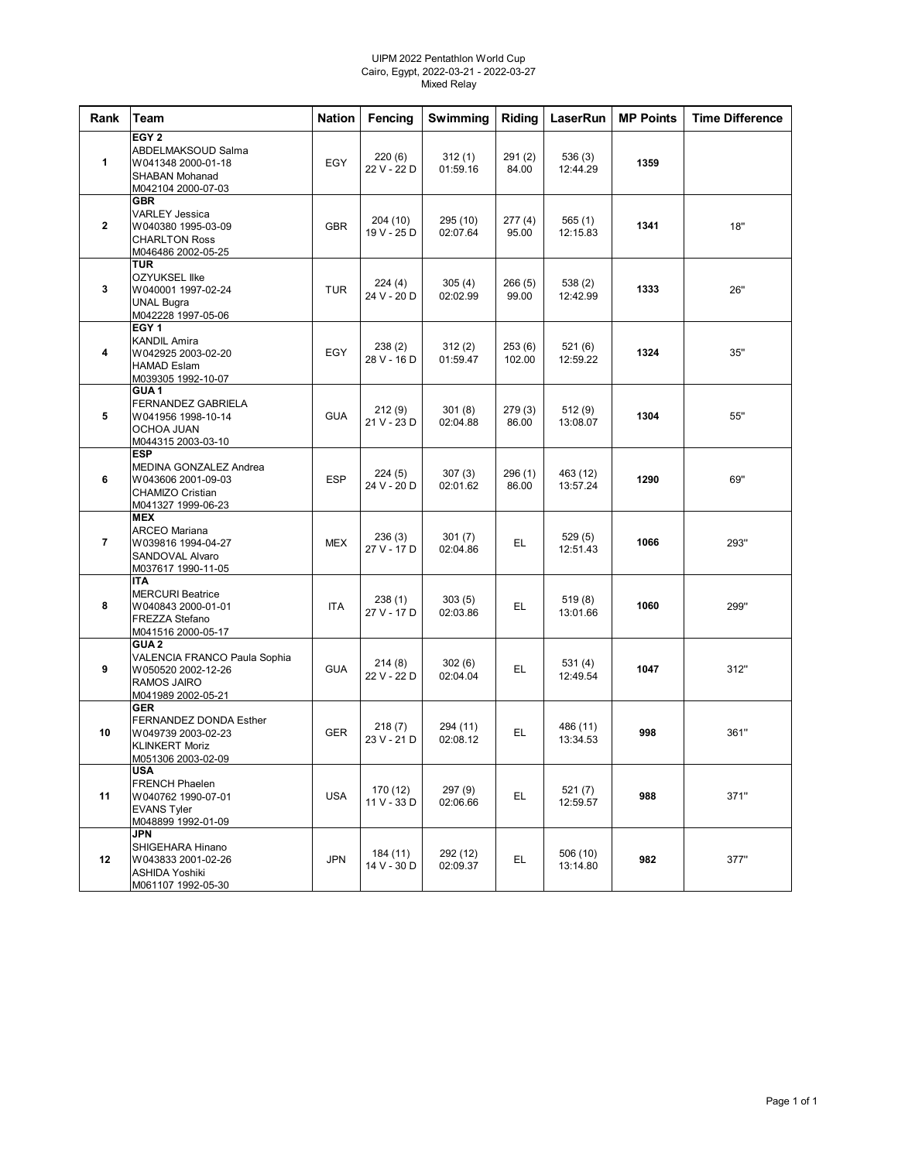#### UIPM 2022 Pentathlon World Cup Cairo, Egypt, 2022-03-21 - 2022-03-27 Mixed Relay

| Rank           | Team                                                                                                        | <b>Nation</b> | Fencing                 | Swimming             | Ridina           | LaserRun             | <b>MP Points</b> | <b>Time Difference</b> |
|----------------|-------------------------------------------------------------------------------------------------------------|---------------|-------------------------|----------------------|------------------|----------------------|------------------|------------------------|
| 1              | EGY <sub>2</sub><br>ABDELMAKSOUD Salma<br>W041348 2000-01-18<br><b>SHABAN Mohanad</b><br>M042104 2000-07-03 | EGY           | 220(6)<br>22 V - 22 D   | 312(1)<br>01:59.16   | 291 (2)<br>84.00 | 536(3)<br>12:44.29   | 1359             |                        |
| $\mathbf{2}$   | <b>GBR</b><br><b>VARLEY Jessica</b><br>W040380 1995-03-09<br><b>CHARLTON Ross</b><br>M046486 2002-05-25     | <b>GBR</b>    | 204 (10)<br>19 V - 25 D | 295 (10)<br>02:07.64 | 277 (4)<br>95.00 | 565 (1)<br>12:15.83  | 1341             | 18"                    |
| 3              | <b>TUR</b><br><b>OZYUKSEL IIke</b><br>W040001 1997-02-24<br><b>UNAL Bugra</b><br>M042228 1997-05-06         | <b>TUR</b>    | 224(4)<br>24 V - 20 D   | 305(4)<br>02:02.99   | 266 (5)<br>99.00 | 538(2)<br>12:42.99   | 1333             | 26"                    |
| 4              | EGY <sub>1</sub><br><b>KANDIL Amira</b><br>W042925 2003-02-20<br><b>HAMAD Eslam</b><br>M039305 1992-10-07   | <b>EGY</b>    | 238(2)<br>28 V - 16 D   | 312(2)<br>01:59.47   | 253(6)<br>102.00 | 521 (6)<br>12:59.22  | 1324             | 35"                    |
| 5              | GUA <sub>1</sub><br>FERNANDEZ GABRIELA<br>W041956 1998-10-14<br><b>OCHOA JUAN</b><br>M044315 2003-03-10     | <b>GUA</b>    | 212(9)<br>21 V - 23 D   | 301(8)<br>02:04.88   | 279(3)<br>86.00  | 512(9)<br>13:08.07   | 1304             | 55"                    |
| 6              | <b>ESP</b><br>MEDINA GONZALEZ Andrea<br>W043606 2001-09-03<br><b>CHAMIZO Cristian</b><br>M041327 1999-06-23 | <b>ESP</b>    | 224(5)<br>24 V - 20 D   | 307(3)<br>02:01.62   | 296 (1)<br>86.00 | 463 (12)<br>13:57.24 | 1290             | 69"                    |
| $\overline{7}$ | <b>MEX</b><br><b>ARCEO Mariana</b><br>W039816 1994-04-27<br>SANDOVAL Alvaro<br>M037617 1990-11-05           | <b>MEX</b>    | 236(3)<br>27 V - 17 D   | 301(7)<br>02:04.86   | EL               | 529(5)<br>12:51.43   | 1066             | 293"                   |
| 8              | <b>ITA</b><br><b>MERCURI Beatrice</b><br>W040843 2000-01-01<br>FREZZA Stefano<br>M041516 2000-05-17         | <b>ITA</b>    | 238(1)<br>27 V - 17 D   | 303(5)<br>02:03.86   | EL.              | 519 (8)<br>13:01.66  | 1060             | 299"                   |
| 9              | GUA <sub>2</sub><br>VALENCIA FRANCO Paula Sophia<br>W050520 2002-12-26<br>RAMOS JAIRO<br>M041989 2002-05-21 | <b>GUA</b>    | 214(8)<br>22 V - 22 D   | 302(6)<br>02:04.04   | EL.              | 531(4)<br>12:49.54   | 1047             | 312"                   |
| 10             | <b>GER</b><br>FERNANDEZ DONDA Esther<br>W049739 2003-02-23<br><b>KLINKERT Moriz</b><br>M051306 2003-02-09   | <b>GER</b>    | 218(7)<br>23 V - 21 D   | 294 (11)<br>02:08.12 | EL.              | 486 (11)<br>13:34.53 | 998              | 361"                   |
| 11             | <b>USA</b><br><b>FRENCH Phaelen</b><br>W040762 1990-07-01<br><b>EVANS Tyler</b><br>M048899 1992-01-09       | <b>USA</b>    | 170 (12)<br>11 V - 33 D | 297 (9)<br>02:06.66  | EL.              | 521 (7)<br>12:59.57  | 988              | 371"                   |
| 12             | <b>JPN</b><br>SHIGEHARA Hinano<br>W043833 2001-02-26<br><b>ASHIDA Yoshiki</b><br>M061107 1992-05-30         | <b>JPN</b>    | 184 (11)<br>14 V - 30 D | 292 (12)<br>02:09.37 | EL.              | 506 (10)<br>13:14.80 | 982              | 377"                   |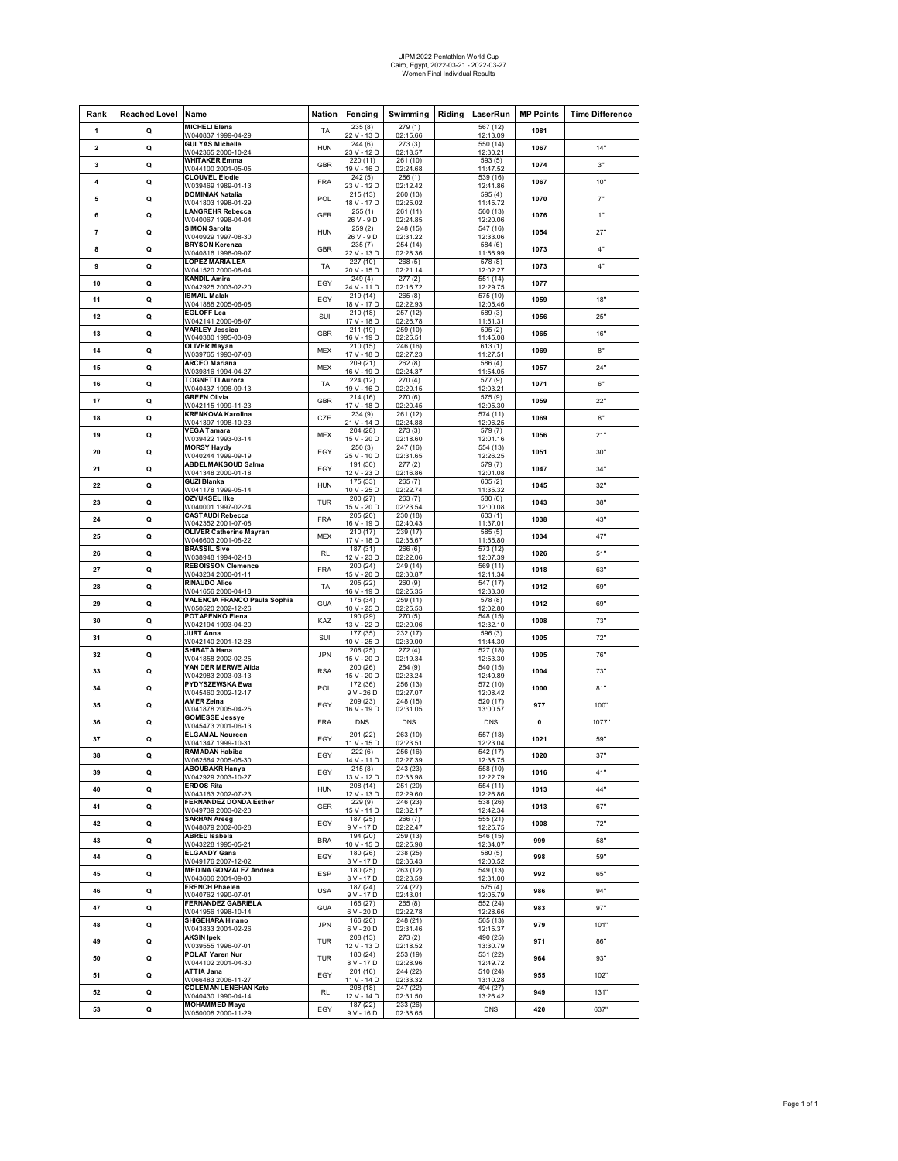# UIPM 2022 Pentathlon World Cup Cairo, Egypt, 2022-03-21 - 2022-03-27 Women Final Individual Results

| Rank           | Reached Level Name |                                                           | <b>Nation</b> | Fencing                   | Swimming               | Riding | LaserRun               | <b>MP Points</b> | <b>Time Difference</b> |
|----------------|--------------------|-----------------------------------------------------------|---------------|---------------------------|------------------------|--------|------------------------|------------------|------------------------|
| $\mathbf{1}$   | Q                  | <b>MICHELI Elena</b><br>W040837 1999-04-29                | <b>ITA</b>    | 235(8)<br>22 V - 13 D     | 279 (1)<br>02:15.66    |        | 567(12)<br>12:13.09    | 1081             |                        |
| 2              | Q                  | <b>GULYAS Michelle</b>                                    | <b>HUN</b>    | 244(6)                    | 273(3)                 |        | 550 (14)               | 1067             | 14"                    |
|                |                    | W042365 2000-10-24<br><b>WHITAKER Emma</b>                |               | 23 V - 12 D<br>220 (11)   | 02:18.57<br>261 (10)   |        | 12:30.21<br>593 (5)    |                  |                        |
| 3              | Q                  | W044100 2001-05-05<br><b>CLOUVEL Elodie</b>               | GBR           | 19 V - 16 D<br>242(5)     | 02:24.68<br>286(1)     |        | 11:47.52<br>539 (16)   | 1074             | 3"                     |
| 4              | Q                  | W039469 1989-01-13                                        | <b>FRA</b>    | 23 V - 12 D               | 02:12.42               |        | 12:41.86               | 1067             | 10"                    |
| 5              | Q                  | <b>DOMINIAK Natalia</b><br>W041803 1998-01-29             | <b>POL</b>    | 215 (13)<br>18 V - 17 D   | 260 (13)<br>02:25.02   |        | 595(4)<br>11:45.72     | 1070             | 7"                     |
| 6              | Q                  | <b>LANGREHR Rebecca</b><br>W040067 1998-04-04             | GER           | 255(1)<br>26 V - 9 D      | 261(11)<br>02:24.85    |        | 560 (13)<br>12:20.06   | 1076             | 1"                     |
| $\overline{7}$ | Q                  | <b>SIMON Sarolta</b>                                      | <b>HUN</b>    | 259(2)<br>26 V - 9 D      | 248 (15)               |        | 547 (16)               | 1054             | 27"                    |
| 8              | Q                  | W040929 1997-08-30<br><b>BRYSON Kerenza</b>               | GBR           | 235(7)                    | 02:31.22<br>254 (14)   |        | 12:33.06<br>584 (6)    | 1073             | 4"                     |
| 9              |                    | W040816 1998-09-07<br><b>LOPEZ MARIA LEA</b>              | <b>ITA</b>    | 22 V - 13 D<br>227 (10)   | 02:28.36<br>268(5)     |        | 11:56.99<br>578 (8)    | 1073             | 4"                     |
|                | Q                  | W041520 2000-08-04<br><b>KANDIL Amira</b>                 |               | 20 V - 15 D<br>249(4)     | 02:21.14<br>277(2)     |        | 12:02.27<br>551 (14)   |                  |                        |
| 10             | Q                  | W042925 2003-02-20                                        | EGY           | 24 V - 11 D               | 02:16.72               |        | 12:29.75               | 1077             |                        |
| 11             | Q                  | <b>ISMAIL Malak</b><br>W041888 2005-06-08                 | EGY           | 219 (14)<br>18 V - 17 D   | 265(8)<br>02:22.93     |        | 575 (10)<br>12:05.46   | 1059             | 18"                    |
| 12             | Q                  | <b>EGLOFF Lea</b><br>W042141 2000-08-07                   | SUI           | 210(18)<br>17 V - 18 D    | 257 (12)<br>02:26.78   |        | 589 (3)<br>11:51.31    | 1056             | 25"                    |
| 13             | Q                  | <b>VARLEY Jessica</b><br>W040380 1995-03-09               | GBR           | 211 (19)<br>16 V - 19 D   | 259 (10)<br>02:25.51   |        | 595 (2)<br>11:45.08    | 1065             | 16"                    |
| 14             | Q                  | <b>OLIVER Mayan</b><br>W039765 1993-07-08                 | MEX           | 210(15)<br>17 V - 18 D    | 246 (16)<br>02:27.23   |        | 613(1)<br>11:27.51     | 1069             | 8"                     |
| 15             | Q                  | <b>ARCEO Mariana</b>                                      | MEX           | 209 (21)                  | 262(8)                 |        | 586 (4)                | 1057             | 24"                    |
|                |                    | W039816 1994-04-27<br><b>TOGNETTI Aurora</b>              |               | 16 V - 19 D<br>224 (12)   | 02:24.37<br>270(4)     |        | 11:54.05<br>577 (9)    |                  | 6"                     |
| 16             | Q                  | W040437 1998-09-13<br><b>GREEN Olivia</b>                 | <b>ITA</b>    | 19 V - 16 D<br>214 (16)   | 02:20.15<br>270(6)     |        | 12:03.21<br>575 (9)    | 1071             |                        |
| 17             | Q                  | W042115 1999-11-23                                        | GBR           | 17 V - 18 D<br>234 (9)    | 02:20.45               |        | 12:05.30               | 1059             | 22"                    |
| 18             | Q                  | <b>KRENKOVA Karolina</b><br>W041397 1998-10-23            | CZE           | 21 V - 14 D               | 261 (12)<br>02:24.88   |        | 574 (11)<br>12:06.25   | 1069             | 8"                     |
| 19             | Q                  | <b>VEGA Tamara</b><br>W039422 1993-03-14                  | <b>MEX</b>    | 204 (28)<br>15 V - 20 D   | 273(3)<br>02:18.60     |        | 579 (7)<br>12:01.16    | 1056             | 21"                    |
| 20             | Q                  | <b>MORSY Haydy</b><br>W040244 1999-09-19                  | EGY           | 250(3)<br>25 V - 10 D     | 247 (16)<br>02:31.65   |        | 554 (13)<br>12:26.25   | 1051             | 30"                    |
| 21             | Q                  | <b>ABDELMAKSOUD Salma</b>                                 | EGY           | 191 (30)                  | 277(2)                 |        | 579 (7)                | 1047             | 34"                    |
| 22             | Q                  | W041348 2000-01-18<br><b>GUZI Blanka</b>                  | <b>HUN</b>    | 12 V - 23 D<br>175 (33)   | 02:16.86<br>265(7)     |        | 12:01.08<br>605(2)     | 1045             | 32"                    |
|                |                    | W041178 1999-05-14<br><b>OZYUKSEL IIke</b>                |               | 10 V - 25 D<br>200 (27)   | 02:22.74<br>263(7)     |        | 11:35.32<br>580 (6)    |                  |                        |
| 23             | Q                  | W040001 1997-02-24<br><b>CASTAUDI Rebecca</b>             | <b>TUR</b>    | 15 V - 20 D<br>205 (20)   | 02:23.54<br>230 (18)   |        | 12:00.08<br>603(1)     | 1043             | 38"                    |
| 24             | Q                  | W042352 2001-07-08                                        | <b>FRA</b>    | 16 V - 19 D               | 02:40.43               |        | 11:37.01               | 1038             | 43"                    |
| 25             | Q                  | <b>OLIVER Catherine Mayran</b><br>W046603 2001-08-22      | MEX           | 210 (17)<br>17 V - 18 D   | 239 (17)<br>02:35.67   |        | 585 (5)<br>11:55.80    | 1034             | 47"                    |
| 26             | Q                  | <b>BRASSIL Sive</b><br>W038948 1994-02-18                 | <b>IRL</b>    | 187 (31)<br>12 V - 23 D   | 266(6)<br>02:22.06     |        | 573 (12)<br>12:07.39   | 1026             | 51"                    |
| 27             | Q                  | <b>REBOISSON Clemence</b><br>W043234 2000-01-11           | <b>FRA</b>    | 200(24)<br>15 V - 20 D    | 249(14)<br>02:30.87    |        | 569 (11)<br>12:11.34   | 1018             | 63"                    |
| 28             | Q                  | <b>RINAUDO Alice</b>                                      | <b>ITA</b>    | 205 (22)                  | 260(9)                 |        | 547 (17)               | 1012             | 69"                    |
| 29             | Q                  | W041656 2000-04-18<br><b>VALENCIA FRANCO Paula Sophia</b> | <b>GUA</b>    | 16 V - 19 D<br>175 (34)   | 02:25.35<br>259 (11)   |        | 12:33.30<br>578 (8)    | 1012             | 69"                    |
|                |                    | W050520 2002-12-26<br>POTAPENKO Elena                     |               | 10 V - 25 D<br>190 (29)   | 02:25.53<br>270(5)     |        | 12:02.80<br>548 (15)   |                  |                        |
| 30             | Q                  | W042194 1993-04-20<br><b>JURT Anna</b>                    | KAZ           | 13 V - 22 D<br>177 (35)   | 02:20.06<br>232 (17)   |        | 12:32.10<br>596 (3)    | 1008             | 73"                    |
| 31             | Q                  | W042140 2001-12-28                                        | SUI           | 10 V - 25 D               | 02:39.00               |        | 11:44.30               | 1005             | 72"                    |
| 32             | Q                  | SHIBATA Hana<br>W041858 2002-02-25                        | <b>JPN</b>    | 206 (25)<br>15 V - 20 D   | 272(4)<br>02:19.34     |        | 527 (18)<br>12:53.30   | 1005             | 76"                    |
| 33             | Q                  | VAN DER MERWE Alida<br>W042983 2003-03-13                 | <b>RSA</b>    | 200 (26)<br>15 V - 20 D   | 264 (9)<br>02:23.24    |        | 540 (15)<br>12:40.89   | 1004             | 73"                    |
| 34             | Q                  | PYDYSZEWSKA Ewa<br>W045460 2002-12-17                     | POL           | 172 (36)<br>$9V - 26D$    | 256 (13)<br>02:27.07   |        | 572 (10)<br>12:08.42   | 1000             | 81"                    |
| 35             | Q                  | <b>AMER Zeina</b><br>W041878 2005-04-25                   | EGY           | 209 (23)                  | 248 (15)               |        | 520 (17)               | 977              | 100"                   |
| 36             | Q                  | <b>GOMESSE Jessye</b>                                     | <b>FRA</b>    | 16 V - 19 D<br><b>DNS</b> | 02:31.05<br><b>DNS</b> |        | 13:00.57<br><b>DNS</b> | 0                | 1077"                  |
| 37             | Q                  | W045473 2001-06-13<br><b>ELGAMAL Noureen</b>              | EGY           | 201 (22)                  | 263 (10)               |        | 557 (18)               | 1021             | 59"                    |
|                |                    | W041347 1999-10-31<br><b>RAMADAN Habiba</b>               |               | 11 V - 15 D<br>222(6)     | 02:23.51<br>256 (16)   |        | 12:23.04<br>542 (17)   |                  |                        |
| 38             | Q                  | W062564 2005-05-30<br><b>ABOUBAKR Hanya</b>               | EGY           | 14 V - 11 D<br>215(8)     | 02:27.39<br>243 (23)   |        | 12:38.75<br>558 (10)   | 1020             | 37"                    |
| 39             | Q                  | W042929 2003-10-27                                        | EGY           | 13 V - 12 D               | 02:33.98               |        | 12:22.79               | 1016             | 41"                    |
| 40             | Q                  | <b>ERDOS Rita</b><br>W043163 2002-07-23                   | <b>HUN</b>    | 208 (14)<br>12 V - 13 D   | 251 (20)<br>02:29.60   |        | 554 (11)<br>12:26.86   | 1013             | 44"                    |
| 41             | Q                  | <b>FERNANDEZ DONDA Esther</b><br>W049739 2003-02-23       | GER           | 229(9)<br>15 V - 11 D     | 246 (23)<br>02:32.17   |        | 538 (26)<br>12:42.34   | 1013             | 67"                    |
| 42             | Q                  | <b>SARHAN Areeg</b><br>W048879 2002-06-28                 | EGY           | 187 (25)<br>$9V - 17D$    | 266(7)<br>02:22.47     |        | 555 (21)<br>12:25.75   | 1008             | 72"                    |
| 43             | Q                  | <b>ABREU Isabela</b>                                      | <b>BRA</b>    | 194 (20)                  | 259 (13)               |        | 546 (15)               | 999              | 58"                    |
| 44             | Q                  | W043228 1995-05-21<br><b>ELGANDY Gana</b>                 | EGY           | 10 V - 15 D<br>180 (26)   | 02:25.98<br>238 (25)   |        | 12:34.07<br>580 (5)    | 998              | 59"                    |
|                |                    | W049176 2007-12-02<br><b>MEDINA GONZALEZ Andrea</b>       |               | 8 V - 17 D<br>180 (25)    | 02:36.43<br>263 (12)   |        | 12:00.52<br>549(13)    |                  |                        |
| 45             | Q                  | W043606 2001-09-03<br><b>FRENCH Phaelen</b>               | ESP           | 8 V - 17 D<br>187 (24)    | 02:23.59<br>224 (27)   |        | 12:31.00<br>575(4)     | 992              | 65"                    |
| 46             | Q                  | W040762 1990-07-01                                        | <b>USA</b>    | $9V - 17D$                | 02:43.01               |        | 12:05.79               | 986              | 94"                    |
| 47             | Q                  | <b>FERNANDEZ GABRIELA</b><br>W041956 1998-10-14           | <b>GUA</b>    | 166 (27)<br>6 V - 20 D    | 265(8)<br>02:22.78     |        | 552 (24)<br>12:28.66   | 983              | 97"                    |
| 48             | Q                  | SHIGEHARA Hinano<br>W043833 2001-02-26                    | <b>JPN</b>    | 166 (26)<br>6 V - 20 D    | 248 (21)<br>02:31.46   |        | 565 (13)<br>12:15.37   | 979              | 101"                   |
| 49             | Q                  | <b>AKSIN Ipek</b><br>W039555 1996-07-01                   | TUR           | 208 (13)<br>12 V - 13 D   | 273(2)<br>02:18.52     |        | 490 (25)<br>13:30.79   | 971              | 86"                    |
| 50             | Q                  | <b>POLAT Yaren Nur</b>                                    | TUR           | 180 (24)                  | 253 (19)               |        | 531 (22)               | 964              | 93"                    |
| 51             | Q                  | W044102 2001-04-30<br><b>ATTIA Jana</b>                   | EGY           | 8 V - 17 D<br>201 (16)    | 02:28.96<br>244 (22)   |        | 12:49.72<br>510 (24)   | 955              | 102"                   |
|                |                    | W066483 2006-11-27<br><b>COLEMAN LENEHAN Kate</b>         |               | 11 V - 14 D<br>208 (18)   | 02:33.32<br>247 (22)   |        | 13:10.28<br>494 (27)   |                  |                        |
| 52             | Q                  | W040430 1990-04-14<br><b>MOHAMMED Maya</b>                | <b>IRL</b>    | 12 V - 14 D<br>187 (22)   | 02:31.50<br>233 (26)   |        | 13:26.42               | 949              | 131"                   |
| 53             | Q                  | W050008 2000-11-29                                        | EGY           | $9V - 16D$                | 02:38.65               |        | <b>DNS</b>             | 420              | 637"                   |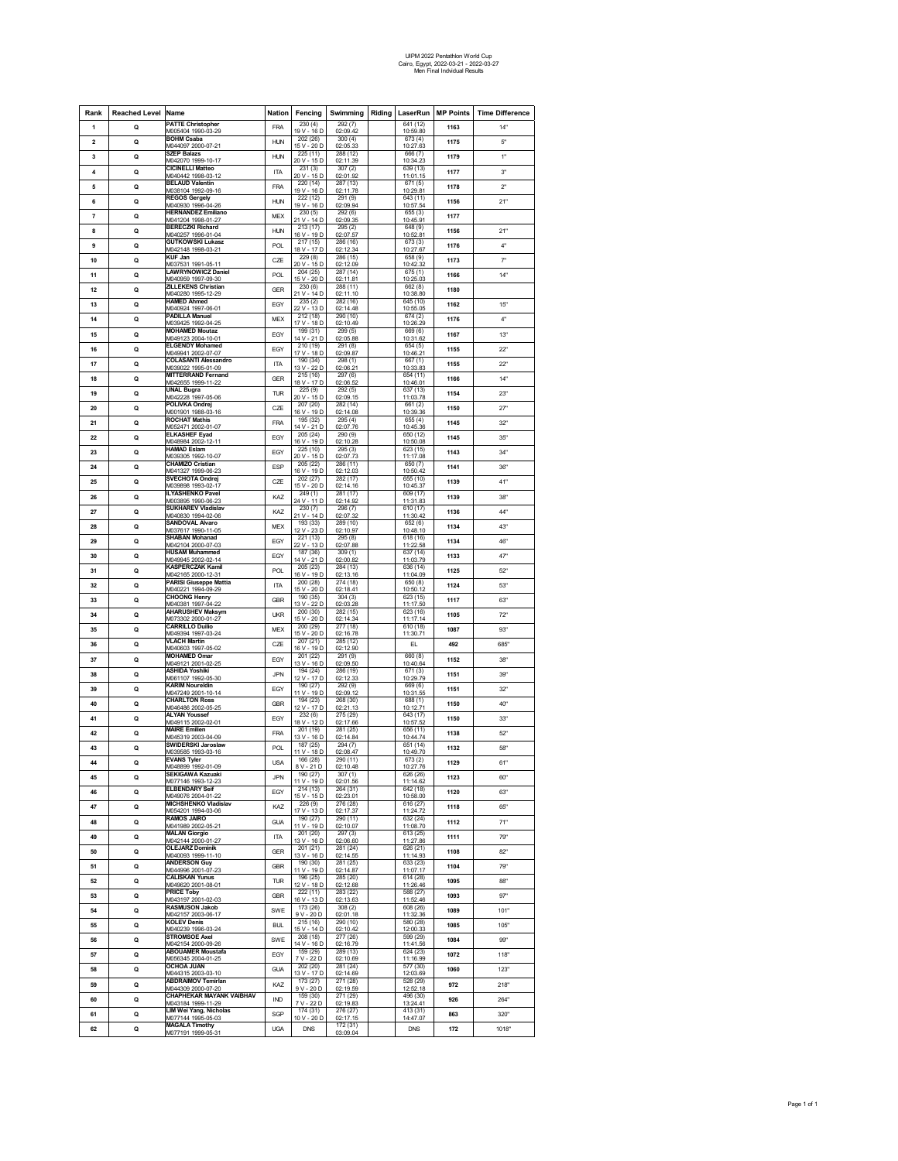# UIPM 2022 Pentathlon World Cup Cairo, Egypt, 2022-03-21 - 2022-03-27 Men Final Indvidual Results

| Rank                    | <b>Reached Level Name</b> |                                                     | <b>Nation</b> | Fencing                 | Swimming             | Riding | LaserRun             | <b>MP Points</b> | <b>Time Difference</b> |
|-------------------------|---------------------------|-----------------------------------------------------|---------------|-------------------------|----------------------|--------|----------------------|------------------|------------------------|
| 1                       | Q                         | <b>PATTE Christopher</b><br>M005404 1990-03-29      | <b>FRA</b>    | 230(4)<br>19 V - 16 D   | 292 (7)<br>02:09.42  |        | 641 (12)<br>10:59.80 | 1163             | 14"                    |
| $\overline{\mathbf{2}}$ | $\Omega$                  | <b>BOHM</b> Csaba                                   | <b>HUN</b>    | 202 (26)                | 300(4)               |        | 673 (4)              | 1175             | $5^{\circ}$            |
| 3                       |                           | M044097 2000-07-21<br><b>SZEP Balazs</b>            |               | 15 V - 20 D<br>225(11)  | 02:05.33<br>288(12)  |        | 10:27.63<br>666 (7)  | 1179             | $1^{\circ}$            |
|                         | Q                         | M042070 1999-10-17<br><b>CICINELLI Matteo</b>       | <b>HUN</b>    | 20 V - 15 D<br>231(3)   | 02:11.39<br>307(2)   |        | 10:34.23<br>639 (13) |                  |                        |
| 4                       | Q                         | M040442 1998-03-12                                  | <b>ITA</b>    | 20 V - 15 D             | 02:01.92             |        | 11:01.15             | 1177             | 3 <sup>7</sup>         |
| 5                       | Q                         | <b>BELAUD</b> Valentin<br>M038104 1992-09-16        | FRA           | 220(14)<br>19 V - 16 D  | 287 (13)<br>02:11.78 |        | 671 (5)<br>10:29.81  | 1178             | $2^{\circ}$            |
| 6                       | Q                         | <b>REGOS Gergelv</b>                                | <b>HUN</b>    | 222 (12)                | 291 (9)              |        | 643(11)              | 1156             | 21"                    |
| $\overline{7}$          | Q                         | M040930 1996-04-26<br><b>HERNANDEZ Emiliano</b>     | <b>MEX</b>    | 19 V - 16 D<br>230(5)   | 02:09.94<br>292 (6)  |        | 10:57.54<br>655 (3)  | 1177             |                        |
|                         |                           | M041204 1998-01-27<br><b>BERECZKI Richard</b>       |               | 21 V - 14 D<br>213 (17) | 02:09.35<br>295 (2)  |        | 10:45.91<br>648 (9)  |                  |                        |
| 8                       | Q                         | M040257 1996-01-04<br><b>GUTKOWSKI Lukasz</b>       | <b>HUN</b>    | 16 V - 19 D             | 02:07.57             |        | 10:52.81             | 1156             | 21"                    |
| 9                       | Q                         | M042148 1998-03-21                                  | POL           | 217 (15)<br>18 V - 17 D | 286 (16)<br>02:12.34 |        | 673 (3)<br>10:27.67  | 1176             | $4^{\circ}$            |
| 10                      | Q                         | <b>KUF Jan</b><br>M037531 1991-05-11                | CZE           | 229(8)<br>20 V - 15 D   | 286 (15)<br>02:12.09 |        | 658 (9)<br>10:42.32  | 1173             | T                      |
| 11                      | $\Omega$                  | <b>LAWRYNOWICZ Daniel</b><br>M040959 1997-09-30     | POL           | 204 (25)<br>15 V - 20 D | 287 (14)<br>02:11.81 |        | 675 (1)<br>10:25.03  | 1166             | 14"                    |
| 12                      | Q                         | <b>ZILLEKENS Christian</b>                          | GER           | 230(6)                  | 288(11)              |        | 662(8)               | 1180             |                        |
|                         |                           | M040280 1995-12-29<br><b>HAMED Ahmed</b>            |               | 21 V - 14 D<br>235(2)   | 02:11.10<br>282 (16) |        | 10:38.80<br>645 (10) |                  |                        |
| 13                      | Q                         | M040924 1997-06-01<br><b>PADILLA Manuel</b>         | EGY           | 22 V - 13 D<br>212 (18) | 02:14.48<br>290 (10) |        | 10:55.05<br>674(2)   | 1162             | 15"                    |
| 14                      | Q                         | M039425 1992-04-25                                  | <b>MEX</b>    | 17 V - 18 D             | 02:10.49             |        | 10:26.29             | 1176             | 4 <sup>o</sup>         |
| 15                      | Q                         | <b>MOHAMED Moutaz</b><br>M049123 2004-10-01         | EGY           | 199 (31)<br>14 V - 21 D | 299 (5)<br>02:05.88  |        | 669 (6)<br>10:31.62  | 1167             | 13"                    |
| 16                      | Q                         | <b>ELGENDY Mohamed</b><br>M049941 2002-07-07        | EGY           | 210 (19)<br>17 V - 18 D | 291 (8)<br>02:09.87  |        | 654(5)<br>10:46.21   | 1155             | 22"                    |
| 17                      | Q                         | <b>COLASANTI Alessandro</b>                         | ITA           | 190 (34)                | 298(1)               |        | 667(1)               | 1155             | 22"                    |
| 18                      | Q                         | M039022 1995-01-09<br><b>MITTERRAND Fernand</b>     | <b>GER</b>    | 13 V - 22 D<br>215 (16) | 02:06.21<br>297(6)   |        | 10:33.83<br>654(11)  | 1166             | 14"                    |
|                         |                           | M042655 1999-11-22<br><b>UNAL Bugra</b>             |               | 18 V - 17 D<br>225(9)   | 02:06.52<br>292 (5)  |        | 10:46.01<br>637 (13) |                  |                        |
| 19                      | Q                         | M042228 1997-05-06                                  | <b>TUR</b>    | 20 V - 15 D             | 02:09.15             |        | 11:03.78             | 1154             | 23"                    |
| 20                      | Q                         | <b>POLIVKA Ondrej</b><br>M001901 1988-03-16         | CZE           | 207 (20)<br>16 V - 19 D | 282 (14)<br>02:14.08 |        | 661 (2)<br>10:39.36  | 1150             | 27"                    |
| 21                      | Q                         | <b>ROCHAT Mathis</b><br>M052471 2002-01-07          | <b>FRA</b>    | 195 (32)<br>14 V - 21 D | 295(4)<br>02:07.76   |        | 655 (4)<br>10:45.36  | 1145             | 32"                    |
| 22                      | $\Omega$                  | <b>ELKASHEF Eyad</b>                                | <b>FGY</b>    | 205 (24)                | 290 (9)              |        | 650 (12)             | 1145             | 35"                    |
| 23                      |                           | M048984 2002-12-11<br><b>HAMAD Eslam</b>            | EGY           | 16 V - 19 D<br>225 (10) | 02:10.28<br>295(3)   |        | 10:50.08<br>623 (15) | 1143             | 34"                    |
|                         | Q                         | M039305 1992-10-07<br><b>CHAMIZO Cristian</b>       |               | 20 V - 15 D<br>205 (22) | 02:07.73<br>286 (11) |        | 11:17.08<br>650 (7)  |                  |                        |
| 24                      | Q                         | M041327 1999-06-23                                  | ESP           | 16 V - 19 D             | 02:12.03             |        | 10:50.42             | 1141             | 36"                    |
| 25                      | Q                         | <b>SVECHOTA Ondrej</b><br>M039898 1993-02-17        | CZE           | 202(27)<br>15 V - 20 D  | 282 (17)<br>02:14.16 |        | 655 (10)<br>10:45.37 | 1139             | 41"                    |
| 26                      | Q                         | <b>ILYASHENKO Pavel</b><br>M003895 1990-06-23       | KAZ           | 249(1)<br>24 V - 11 D   | 281 (17)<br>02:14.92 |        | 609 (17)<br>11:31.83 | 1139             | 38'                    |
| 27                      | Q                         | <b>SUKHAREV Vladislav</b>                           | KAZ           | 230(7)                  | 296 (7)              |        | 610 (17)             | 1136             | 44"                    |
| 28                      | Q                         | M040830 1994-02-06<br>SANDOVAL Alvaro               | <b>MEX</b>    | 21 V - 14 D<br>193 (33) | 02:07.32<br>289 (10) |        | 11:30.42<br>652(6)   | 1134             | 43"                    |
|                         |                           | M037617 1990-11-05<br><b>SHABAN Mohanad</b>         |               | 12 V - 23 D<br>221 (13) | 02:10.97<br>295 (8)  |        | 10:48.10<br>618 (16) |                  |                        |
| 29                      | Q                         | M042104 2000-07-03                                  | EGY           | 22 V - 13 D             | 02:07.88             |        | 11:22.58             | 1134             | 46"                    |
| 30                      | Q                         | <b>HUSAM Muhammed</b><br>M049945 2002-02-14         | EGY           | 187 (36)<br>14 V - 21 D | 309 (1)<br>02:00.82  |        | 637 (14)<br>11:03.79 | 1133             | 47"                    |
| 31                      | Q                         | <b>KASPERCZAK Kamil</b><br>M042165 2000-12-31       | POL           | 205 (23)<br>16 V - 19 D | 284 (13)<br>02:13.16 |        | 636 (14)<br>11:04.09 | 1125             | 52"                    |
| 32                      | Q                         | <b>PARISI Giuseppe Mattia</b><br>M040221 1994-09-29 | <b>ITA</b>    | 200 (28)<br>15 V - 20 D | 274 (18)<br>02:18.41 |        | 650 (8)<br>10:50.12  | 1124             | 53"                    |
| 33                      | Q                         | <b>CHOONG Henry</b>                                 | GBR           | 190 (35)                | 304(3)               |        | 623 (15)             | 1117             | 63'                    |
|                         |                           | M040381 1997-04-22<br><b>AHARUSHEV Maksym</b>       |               | 13 V - 22 D<br>200(30)  | 02:03.28<br>282 (15) |        | 11:17.50<br>623 (16) |                  |                        |
| 34                      | Q                         | M073302 2000-01-27                                  | <b>UKR</b>    | 15 V - 20 D             | 02:14.34             |        | 11:17.14             | 1105             | 72"                    |
| 35                      | Q                         | <b>CARRILLO Duilio</b><br>M049394 1997-03-24        | <b>MEX</b>    | 200(29)<br>15 V - 20 D  | 277 (18)<br>02:16.78 |        | 610(18)<br>11:30.71  | 1087             | 93"                    |
| 36                      | $\Omega$                  | <b>VLACH Martin</b><br>M040603 1997-05-02           | CZE           | 207 (21)<br>16 V - 19 D | 285 (12)<br>02:12.90 |        | EL.                  | 492              | 685"                   |
| 37                      | Q                         | <b>MOHAMED Omar</b><br>M049121 2001-02-25           | EGY           | 201 (22)<br>13 V - 16 D | 291(9)<br>02:09.50   |        | 660(8)<br>10:40.64   | 1152             | 38"                    |
| 38                      | Q                         | <b>ASHIDA Yoshiki</b>                               | <b>JPN</b>    | 194 (24)                | 286 (19)             |        | 671(3)               | 1151             | 39'                    |
|                         |                           | M061107 1992-05-30<br><b>KARIM Noureldin</b>        |               | 12 V - 17 D<br>190 (27) | 02:12.33<br>292 (9)  |        | 10:29.79<br>669 (6)  |                  |                        |
| 39                      | Q                         | M047249 2001-10-14<br><b>CHARLTON Ross</b>          | EGY           | 11 V - 19 D<br>194 (23) | 02:09.12<br>268 (30) |        | 10:31.55<br>688(1)   | 1151             | 32"                    |
| 40                      | Q                         | M046486 2002-05-25                                  | <b>GBR</b>    | 12 V - 17 D             | 02:21.13             |        | 10:12 71             | 1150             | 40"                    |
| 41                      | Q                         | <b>ALYAN Youssef</b><br>M049115 2002-02-01          | EGY           | 232(6)<br>18 V - 12 D   | 275(29)<br>02:17.66  |        | 643 (17)<br>10:57.52 | 1150             | 33"                    |
| 42                      | Q                         | <b>MAIRE Emilien</b><br>M045319 2003-04-09          | <b>FRA</b>    | 201 (19)<br>13 V - 16 D | 281 (25)<br>02:14.84 |        | 656 (11)<br>10:44.74 | 1138             | 52"                    |
| 43                      | Q                         | SWIDERSKI Jaroslaw<br>M039585 1993-03-16            | POL           | 187 (25)<br>11 V - 18 D | 294(7)<br>02:08.47   |        | 651 (14)<br>10:49.70 | 1132             | 58"                    |
| 44                      | $\Omega$                  | <b>EVANS Tyler</b>                                  | USA           | 166 (28)                | 290 (11)             |        | 673 (2)              | 1129             | 61"                    |
|                         |                           | M048899 1992-01-09<br><b>SEKIGAWA Kazuaki</b>       |               | 8 V - 21 D<br>190 (27)  | 02.1048<br>307(1)    |        | 10:27.76<br>626 (26) |                  |                        |
| 45                      | Q                         | M077146 1993-12-23<br><b>ELBENDARY Seif</b>         | <b>JPN</b>    | 11 V - 19 D<br>214 (13) | 02:01.56<br>264 (31) |        | 11:14.62<br>642 (18) | 1123             | 60"                    |
| 46                      | Q                         | M049076 2004-01-22                                  | EGY           | 15 V - 15 D             | 02:23.01             |        | 10:58.00             | 1120             | 63"                    |
| 47                      | Q                         | <b>MICHSHENKO Vladislav</b><br>M054201 1994-03-06   | KAZ           | 226 (9)<br>17 V - 13 D  | 276 (28)<br>02:17.37 |        | 616 (27)<br>11:24.72 | 1118             | 65"                    |
| 48                      | Q                         | RAMOS JAIRO<br>M041989 2002-05-                     | <b>GUA</b>    | 190(27)<br>11 V - 19 D  | 290 (11)<br>02:10.07 |        | 632(24)<br>11:08.70  | 1112             | 71"                    |
| 49                      | Q                         | <b>MALAN Giorgio</b>                                | ITA           | 201(20)                 | 297(3)               |        | 613 (25)             | 1111             | 79"                    |
| 50                      | Q                         | M042144 2000-01-27<br><b>OLEJARZ Dominik</b>        | <b>GER</b>    | 13 V - 16 D<br>201 (21) | 02:06.60<br>281 (24) |        | 11:27.86<br>626 (21) | 1108             | 82"                    |
|                         |                           | M040093 1999-11-10<br><b>ANDERSON Guy</b>           |               | 13 V - 16 D<br>190 (30) | 02:14.55<br>281 (25) |        | 11:14.93<br>633 (23) |                  |                        |
| 51                      | Q                         | M044996 2001-07-23<br><b>CALISKAN Yunus</b>         | <b>GBR</b>    | 11 V - 19 D             | 02:14.87<br>285 (20) |        | 11:07.17             | 1104             | 79"                    |
| 52                      | Q                         | M049620 2001-08-01                                  | <b>TUR</b>    | 196 (25)<br>12 V - 18 D | 02:12.68             |        | 614 (28)<br>11:26.46 | 1095             | 88"                    |
| 53                      | Q                         | <b>PRICE Toby</b><br>M043197 2001-02-03             | GBR           | 222 (11)<br>16 V - 13 D | 283 (22)<br>02:13.63 |        | 588 (27)<br>11:52.46 | 1093             | 97"                    |
| 54                      | Q                         | <b>RASMUSON Jakob</b><br>M042157 2003-06-17         | SWE           | 173 (26)<br>9 V - 20 D  | 308(2)<br>02:01.18   |        | 608 (26)<br>11:32.36 | 1089             | 101"                   |
| 55                      | Q                         | <b>KOLEV Denis</b>                                  | <b>BUL</b>    | 215 (16)                | 290 (10)             |        | 580 (28)             | 1085             | 105"                   |
|                         |                           | M040239 1996-03-24<br><b>STROMSOE Axel</b>          |               | 15 V - 14 D<br>208 (18) | 02:10.42<br>277 (26) |        | 12:00.33<br>599 (29) |                  |                        |
| 56                      | Q                         | M042154 2000-09-26<br><b>ABOUAMER Moustafa</b>      | SWE           | 14 V - 16 D<br>159 (29) | 02:16.79<br>289 (13) |        | 11:41.56<br>624 (23) | 1084             | 99"                    |
| 57                      | Q                         | M056345 2004-01-25                                  | EGY           | 7 V - 22 D              | 02:10.69             |        | 11:16.99             | 1072             | 118"                   |
| 58                      | Q                         | OCHOA JUAN<br>M044315 2003-03-10                    | <b>GUA</b>    | 202 (20)<br>13 V - 17 D | 281 (24)<br>02:14.69 |        | 577 (30)<br>12:03.69 | 1060             | 123"                   |
| 59                      | Q                         | <b>ABDRAIMOV Temirlan</b><br>M044309 2000-07-20     | KAZ           | 173 (27)<br>9 V - 20 D  | 271 (28)<br>02:19.59 |        | 528 (29)<br>12:52.18 | 972              | 218"                   |
| 60                      | Q                         | <b>CHAPHEKAR MAYANK VAIBHAV</b>                     | IND           | 159 (30)                | 271 (29)             |        | 496 (30)             | 926              | 264"                   |
| 61                      | Q                         | M043184 1999-11-29<br>LIM Wei Yang, Nicholas        | SGP           | 7 V - 22 D<br>174 (31)  | 02:19.83<br>276 (27) |        | 13:24.41<br>413 (31) | 863              | 320"                   |
|                         |                           | M077144 1995-05-03<br><b>MAGALA Timothy</b>         |               | 10 V - 20 D             | 02:17.15<br>172 (31) |        | 14:47.07             |                  |                        |
| 62                      | Q                         | M077191 1999-05-31                                  | <b>UGA</b>    | <b>DNS</b>              | 03:09.04             |        | <b>DNS</b>           | 172              | 1018"                  |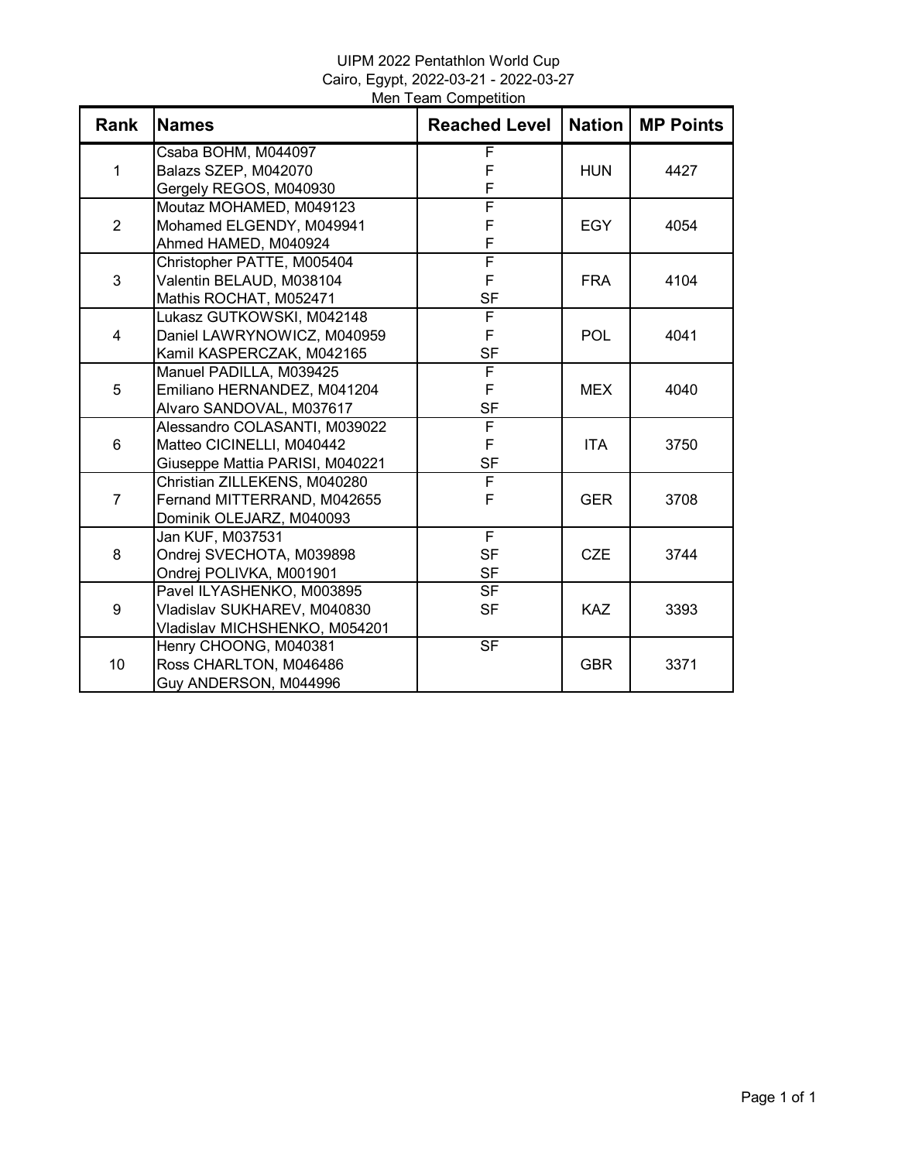# UIPM 2022 Pentathlon World Cup Cairo, Egypt, 2022-03-21 - 2022-03-27 Men Team Competition

| Rank             | <b>Names</b>                    | <b>Reached Level</b>     | <b>Nation</b> | <b>MP Points</b> |
|------------------|---------------------------------|--------------------------|---------------|------------------|
|                  | Csaba BOHM, M044097             | F                        |               |                  |
| 1                | Balazs SZEP, M042070            | F                        | <b>HUN</b>    | 4427             |
|                  | Gergely REGOS, M040930          | F                        |               |                  |
|                  | Moutaz MOHAMED, M049123         | F                        |               | 4054             |
| $\overline{2}$   | Mohamed ELGENDY, M049941        | F                        | <b>EGY</b>    |                  |
|                  | Ahmed HAMED, M040924            | F                        |               |                  |
|                  | Christopher PATTE, M005404      | F                        |               | 4104             |
| 3                | Valentin BELAUD, M038104        | F                        | <b>FRA</b>    |                  |
|                  | Mathis ROCHAT, M052471          | <b>SF</b>                |               |                  |
|                  | Lukasz GUTKOWSKI, M042148       | F                        |               |                  |
| $\overline{4}$   | Daniel LAWRYNOWICZ, M040959     | F                        | POL           | 4041             |
|                  | Kamil KASPERCZAK, M042165       | <b>SF</b>                |               |                  |
|                  | Manuel PADILLA, M039425         | F                        |               |                  |
| 5                | Emiliano HERNANDEZ, M041204     | F                        | <b>MEX</b>    | 4040             |
|                  | Alvaro SANDOVAL, M037617        | <b>SF</b>                |               |                  |
|                  | Alessandro COLASANTI, M039022   | F                        |               |                  |
| 6                | Matteo CICINELLI, M040442       | F                        | <b>ITA</b>    | 3750             |
|                  | Giuseppe Mattia PARISI, M040221 | <b>SF</b>                |               |                  |
|                  | Christian ZILLEKENS, M040280    | F                        |               |                  |
| $\overline{7}$   | Fernand MITTERRAND, M042655     | F                        | <b>GER</b>    | 3708             |
|                  | Dominik OLEJARZ, M040093        |                          |               |                  |
|                  | Jan KUF, M037531                | $\overline{F}$           |               |                  |
| 8                | Ondrej SVECHOTA, M039898        | <b>SF</b>                | <b>CZE</b>    | 3744             |
|                  | Ondrej POLIVKA, M001901         | <b>SF</b>                |               |                  |
|                  | Pavel ILYASHENKO, M003895       | <b>SF</b>                |               |                  |
| $\boldsymbol{9}$ | Vladislav SUKHAREV, M040830     | <b>SF</b>                | <b>KAZ</b>    | 3393             |
|                  | Vladislav MICHSHENKO, M054201   |                          |               |                  |
|                  | Henry CHOONG, M040381           | $\overline{\mathsf{SF}}$ |               |                  |
| 10               | Ross CHARLTON, M046486          |                          | <b>GBR</b>    | 3371             |
|                  | Guy ANDERSON, M044996           |                          |               |                  |